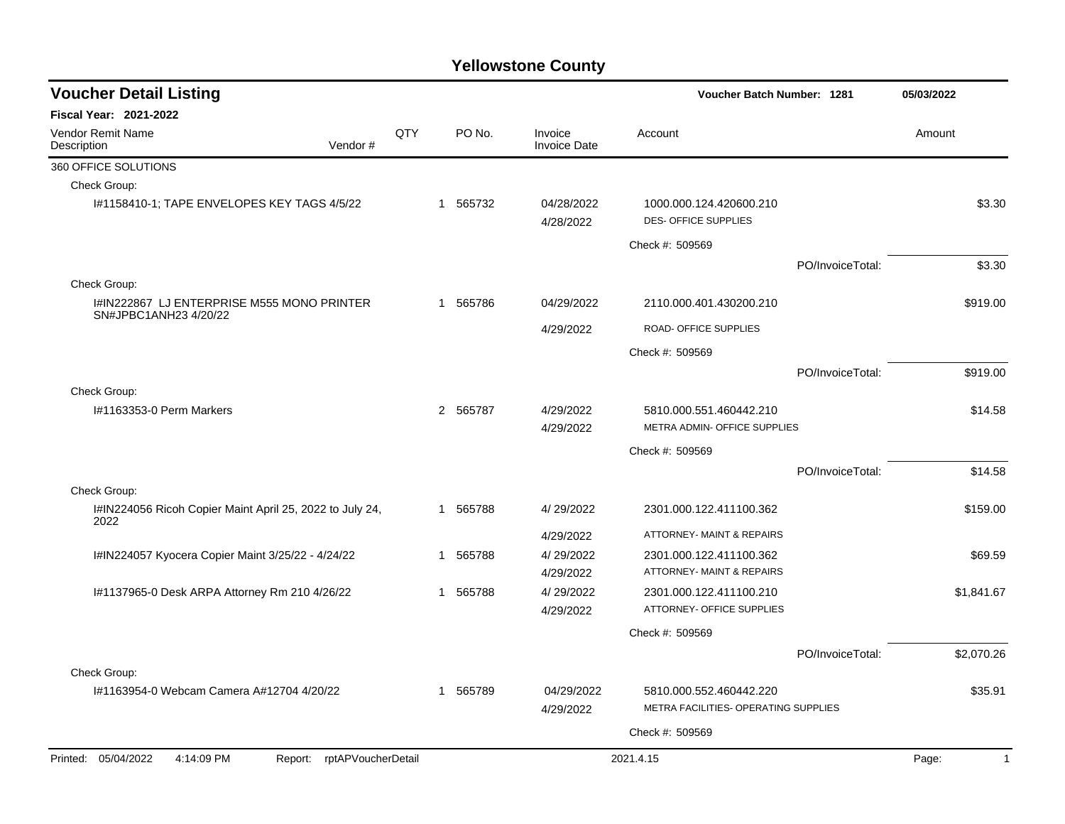| <b>Voucher Detail Listing</b>                                            |                            |     |              |           |                                                         | Voucher Batch Number: 1281                           | 05/03/2022       |              |
|--------------------------------------------------------------------------|----------------------------|-----|--------------|-----------|---------------------------------------------------------|------------------------------------------------------|------------------|--------------|
| <b>Fiscal Year: 2021-2022</b>                                            |                            |     |              |           |                                                         |                                                      |                  |              |
| <b>Vendor Remit Name</b><br>Description                                  | Vendor#                    | QTY |              | PO No.    | Invoice<br><b>Invoice Date</b>                          | Account                                              |                  | Amount       |
| 360 OFFICE SOLUTIONS                                                     |                            |     |              |           |                                                         |                                                      |                  |              |
| Check Group:                                                             |                            |     |              |           |                                                         |                                                      |                  |              |
| 1#1158410-1; TAPE ENVELOPES KEY TAGS 4/5/22                              |                            |     | $\mathbf 1$  | 565732    | 04/28/2022<br>4/28/2022                                 | 1000.000.124.420600.210<br>DES-OFFICE SUPPLIES       |                  | \$3.30       |
|                                                                          |                            |     |              |           |                                                         | Check #: 509569                                      |                  |              |
|                                                                          |                            |     |              |           |                                                         |                                                      | PO/InvoiceTotal: | \$3.30       |
| Check Group:                                                             |                            |     |              |           |                                                         |                                                      |                  |              |
| I#IN222867 LJ ENTERPRISE M555 MONO PRINTER                               |                            |     | $\mathbf{1}$ | 565786    | 04/29/2022                                              | 2110.000.401.430200.210                              |                  | \$919.00     |
| SN#JPBC1ANH23 4/20/22                                                    |                            |     |              |           | 4/29/2022                                               | ROAD- OFFICE SUPPLIES                                |                  |              |
|                                                                          |                            |     |              |           |                                                         | Check #: 509569                                      |                  |              |
|                                                                          |                            |     |              |           |                                                         |                                                      | PO/InvoiceTotal: | \$919.00     |
| Check Group:                                                             |                            |     |              |           |                                                         |                                                      |                  |              |
| I#1163353-0 Perm Markers                                                 |                            |     | 2 565787     | 4/29/2022 | 5810.000.551.460442.210<br>METRA ADMIN- OFFICE SUPPLIES |                                                      | \$14.58          |              |
|                                                                          |                            |     |              |           | 4/29/2022                                               |                                                      |                  |              |
|                                                                          |                            |     |              |           |                                                         | Check #: 509569                                      |                  |              |
|                                                                          |                            |     |              |           |                                                         |                                                      | PO/InvoiceTotal: | \$14.58      |
| Check Group:<br>I#IN224056 Ricoh Copier Maint April 25, 2022 to July 24, |                            |     | 1            | 565788    | 4/29/2022                                               | 2301.000.122.411100.362                              |                  | \$159.00     |
| 2022                                                                     |                            |     |              |           |                                                         |                                                      |                  |              |
|                                                                          |                            |     |              |           | 4/29/2022                                               | ATTORNEY- MAINT & REPAIRS                            |                  |              |
| I#IN224057 Kyocera Copier Maint 3/25/22 - 4/24/22                        |                            |     | $\mathbf{1}$ | 565788    | 4/29/2022                                               | 2301.000.122.411100.362                              |                  | \$69.59      |
|                                                                          |                            |     |              |           | 4/29/2022                                               | ATTORNEY- MAINT & REPAIRS                            |                  |              |
| #1137965-0 Desk ARPA Attorney Rm 210 4/26/22                             |                            |     | $\mathbf{1}$ | 565788    | 4/29/2022<br>4/29/2022                                  | 2301.000.122.411100.210<br>ATTORNEY- OFFICE SUPPLIES |                  | \$1,841.67   |
|                                                                          |                            |     |              |           |                                                         | Check #: 509569                                      |                  |              |
|                                                                          |                            |     |              |           |                                                         |                                                      | PO/InvoiceTotal: | \$2,070.26   |
| Check Group:                                                             |                            |     |              |           |                                                         |                                                      |                  |              |
| #1163954-0 Webcam Camera A#12704 4/20/22                                 |                            |     | $\mathbf{1}$ | 565789    | 04/29/2022                                              | 5810.000.552.460442.220                              |                  | \$35.91      |
|                                                                          |                            |     |              |           | 4/29/2022                                               | METRA FACILITIES- OPERATING SUPPLIES                 |                  |              |
|                                                                          |                            |     |              |           |                                                         | Check #: 509569                                      |                  |              |
| Printed: 05/04/2022<br>4:14:09 PM                                        | Report: rptAPVoucherDetail |     |              |           |                                                         | 2021.4.15                                            |                  | $\mathbf{1}$ |
|                                                                          |                            |     |              |           |                                                         |                                                      |                  | Page:        |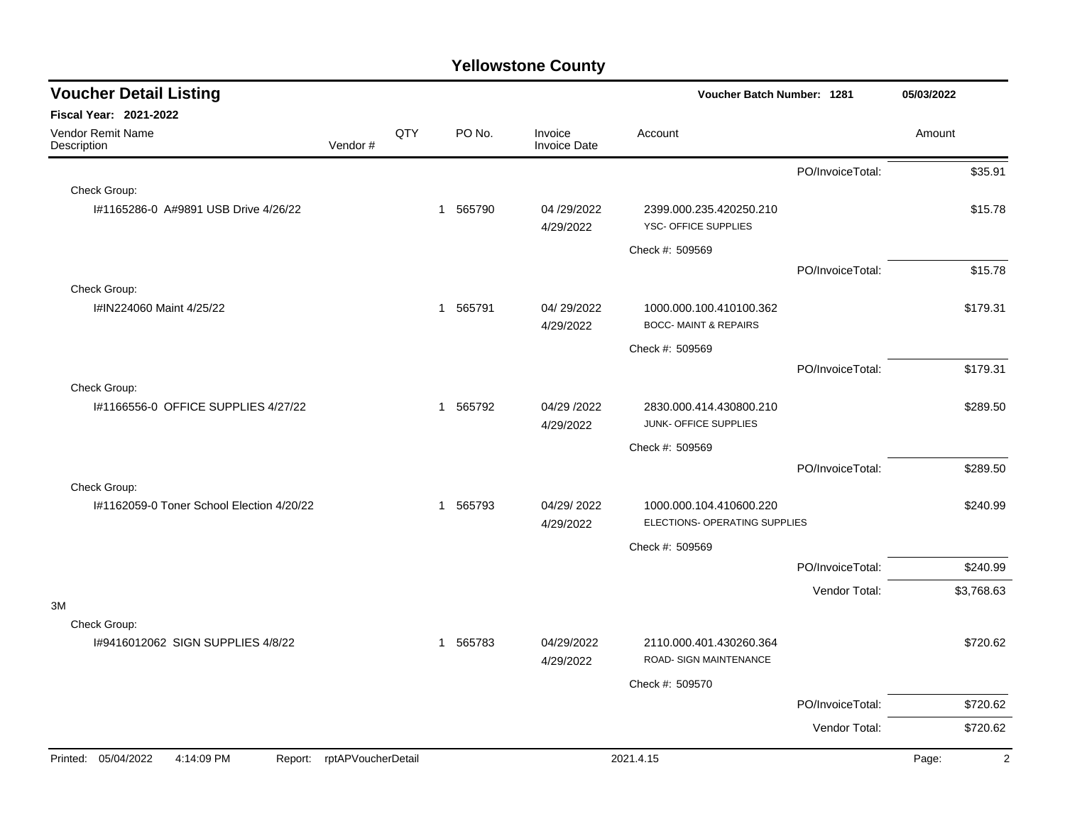| <b>Voucher Detail Listing</b>                |                    |                        |                          |                                                            | Voucher Batch Number: 1281                               |                  | 05/03/2022              |  |
|----------------------------------------------|--------------------|------------------------|--------------------------|------------------------------------------------------------|----------------------------------------------------------|------------------|-------------------------|--|
| <b>Fiscal Year: 2021-2022</b>                |                    |                        |                          |                                                            |                                                          |                  |                         |  |
| Vendor Remit Name<br>Description             | Vendor#            | QTY                    | PO No.                   | Invoice<br>Invoice Date                                    | Account                                                  |                  | Amount                  |  |
|                                              |                    |                        |                          |                                                            |                                                          | PO/InvoiceTotal: | \$35.91                 |  |
| Check Group:                                 |                    |                        |                          |                                                            |                                                          |                  |                         |  |
| #1165286-0 A#9891 USB Drive 4/26/22          |                    |                        | 565790<br>$\mathbf{1}$   | 04 /29/2022<br>4/29/2022                                   | 2399.000.235.420250.210<br>YSC- OFFICE SUPPLIES          |                  | \$15.78                 |  |
|                                              |                    |                        |                          |                                                            | Check #: 509569                                          |                  |                         |  |
|                                              |                    |                        |                          |                                                            |                                                          | PO/InvoiceTotal: | \$15.78                 |  |
| Check Group:                                 |                    |                        |                          |                                                            |                                                          |                  |                         |  |
| I#IN224060 Maint 4/25/22                     |                    | 565791<br>$\mathbf{1}$ | 04/29/2022<br>4/29/2022  | 1000.000.100.410100.362<br><b>BOCC-MAINT &amp; REPAIRS</b> |                                                          | \$179.31         |                         |  |
|                                              |                    |                        |                          |                                                            | Check #: 509569                                          |                  |                         |  |
|                                              |                    |                        |                          |                                                            |                                                          | PO/InvoiceTotal: | \$179.31                |  |
| Check Group:                                 |                    |                        |                          |                                                            |                                                          |                  |                         |  |
| 1#1166556-0 OFFICE SUPPLIES 4/27/22          |                    | 565792<br>$\mathbf{1}$ | 04/29 /2022<br>4/29/2022 | 2830.000.414.430800.210<br>JUNK- OFFICE SUPPLIES           |                                                          | \$289.50         |                         |  |
|                                              |                    |                        |                          |                                                            | Check #: 509569                                          |                  |                         |  |
|                                              |                    |                        |                          |                                                            |                                                          | PO/InvoiceTotal: | \$289.50                |  |
| Check Group:                                 |                    |                        |                          |                                                            |                                                          |                  |                         |  |
| 1#1162059-0 Toner School Election 4/20/22    |                    |                        | 565793<br>$\mathbf{1}$   | 04/29/2022<br>4/29/2022                                    | 1000.000.104.410600.220<br>ELECTIONS- OPERATING SUPPLIES |                  | \$240.99                |  |
|                                              |                    |                        |                          |                                                            | Check #: 509569                                          |                  |                         |  |
|                                              |                    |                        |                          |                                                            |                                                          | PO/InvoiceTotal: | \$240.99                |  |
|                                              |                    |                        |                          |                                                            |                                                          | Vendor Total:    | \$3,768.63              |  |
| 3M<br>Check Group:                           |                    |                        |                          |                                                            |                                                          |                  |                         |  |
| I#9416012062 SIGN SUPPLIES 4/8/22            |                    |                        | 565783<br>$\mathbf{1}$   | 04/29/2022                                                 | 2110.000.401.430260.364                                  |                  | \$720.62                |  |
|                                              |                    |                        |                          | 4/29/2022                                                  | ROAD- SIGN MAINTENANCE                                   |                  |                         |  |
|                                              |                    |                        |                          |                                                            | Check #: 509570                                          |                  |                         |  |
|                                              |                    |                        |                          |                                                            |                                                          | PO/InvoiceTotal: | \$720.62                |  |
|                                              |                    |                        |                          |                                                            |                                                          | Vendor Total:    | \$720.62                |  |
| Printed: 05/04/2022<br>4:14:09 PM<br>Report: | rptAPVoucherDetail |                        |                          |                                                            | 2021.4.15                                                |                  | $\overline{c}$<br>Page: |  |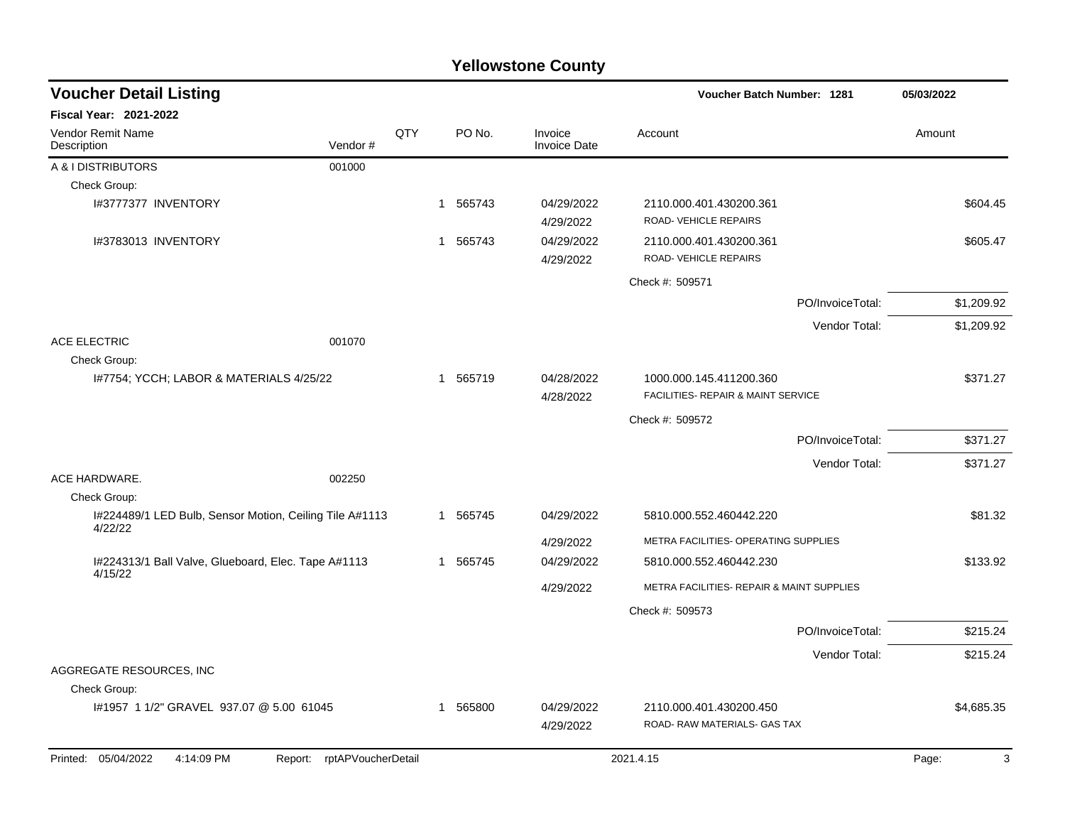| <b>Voucher Detail Listing</b>                                      |                               |     |                        |                                |                                                         | Voucher Batch Number: 1281         |            |
|--------------------------------------------------------------------|-------------------------------|-----|------------------------|--------------------------------|---------------------------------------------------------|------------------------------------|------------|
| <b>Fiscal Year: 2021-2022</b>                                      |                               |     |                        |                                |                                                         |                                    |            |
| <b>Vendor Remit Name</b><br>Description                            | Vendor#                       | QTY | PO No.                 | Invoice<br><b>Invoice Date</b> | Account                                                 |                                    | Amount     |
| A & I DISTRIBUTORS                                                 | 001000                        |     |                        |                                |                                                         |                                    |            |
| Check Group:                                                       |                               |     |                        |                                |                                                         |                                    |            |
| I#3777377 INVENTORY                                                |                               |     | 1 565743               | 04/29/2022<br>4/29/2022        | 2110.000.401.430200.361<br>ROAD- VEHICLE REPAIRS        |                                    | \$604.45   |
| I#3783013 INVENTORY                                                |                               |     | 1 565743               | 04/29/2022<br>4/29/2022        | 2110.000.401.430200.361<br>ROAD-VEHICLE REPAIRS         |                                    | \$605.47   |
|                                                                    |                               |     |                        |                                | Check #: 509571                                         |                                    |            |
|                                                                    |                               |     |                        |                                |                                                         | PO/InvoiceTotal:                   | \$1,209.92 |
|                                                                    |                               |     |                        |                                |                                                         | Vendor Total:                      | \$1,209.92 |
| ACE ELECTRIC<br>Check Group:                                       | 001070                        |     |                        |                                |                                                         |                                    |            |
| I#7754; YCCH; LABOR & MATERIALS 4/25/22                            |                               |     | 1 565719               | 04/28/2022<br>4/28/2022        | 1000.000.145.411200.360                                 | FACILITIES- REPAIR & MAINT SERVICE |            |
|                                                                    |                               |     |                        |                                | Check #: 509572                                         |                                    |            |
|                                                                    |                               |     |                        |                                |                                                         | PO/InvoiceTotal:                   | \$371.27   |
|                                                                    |                               |     |                        |                                |                                                         | Vendor Total:                      | \$371.27   |
| ACE HARDWARE.                                                      | 002250                        |     |                        |                                |                                                         |                                    |            |
| Check Group:                                                       |                               |     |                        |                                |                                                         |                                    |            |
| I#224489/1 LED Bulb, Sensor Motion, Ceiling Tile A#1113<br>4/22/22 |                               |     | 565745<br>1.           | 04/29/2022                     | 5810.000.552.460442.220                                 |                                    | \$81.32    |
|                                                                    |                               |     |                        | 4/29/2022                      | METRA FACILITIES- OPERATING SUPPLIES                    |                                    |            |
| I#224313/1 Ball Valve, Glueboard, Elec. Tape A#1113                |                               |     | 565745<br>-1           | 04/29/2022                     | 5810.000.552.460442.230                                 |                                    | \$133.92   |
| 4/15/22                                                            |                               |     |                        | 4/29/2022                      | METRA FACILITIES- REPAIR & MAINT SUPPLIES               |                                    |            |
|                                                                    |                               |     |                        |                                | Check #: 509573                                         |                                    |            |
|                                                                    |                               |     |                        |                                |                                                         | PO/InvoiceTotal:                   | \$215.24   |
|                                                                    |                               |     |                        |                                |                                                         | Vendor Total:                      | \$215.24   |
| AGGREGATE RESOURCES, INC                                           |                               |     |                        |                                |                                                         |                                    |            |
| Check Group:                                                       |                               |     |                        |                                |                                                         |                                    |            |
| I#1957 1 1/2" GRAVEL 937.07 @ 5.00 61045                           |                               |     | 565800<br>$\mathbf{1}$ | 04/29/2022<br>4/29/2022        | 2110.000.401.430200.450<br>ROAD- RAW MATERIALS- GAS TAX |                                    | \$4,685.35 |
| Printed: 05/04/2022<br>4:14:09 PM                                  | rptAPVoucherDetail<br>Report: |     |                        |                                | 2021.4.15                                               |                                    | Page:<br>3 |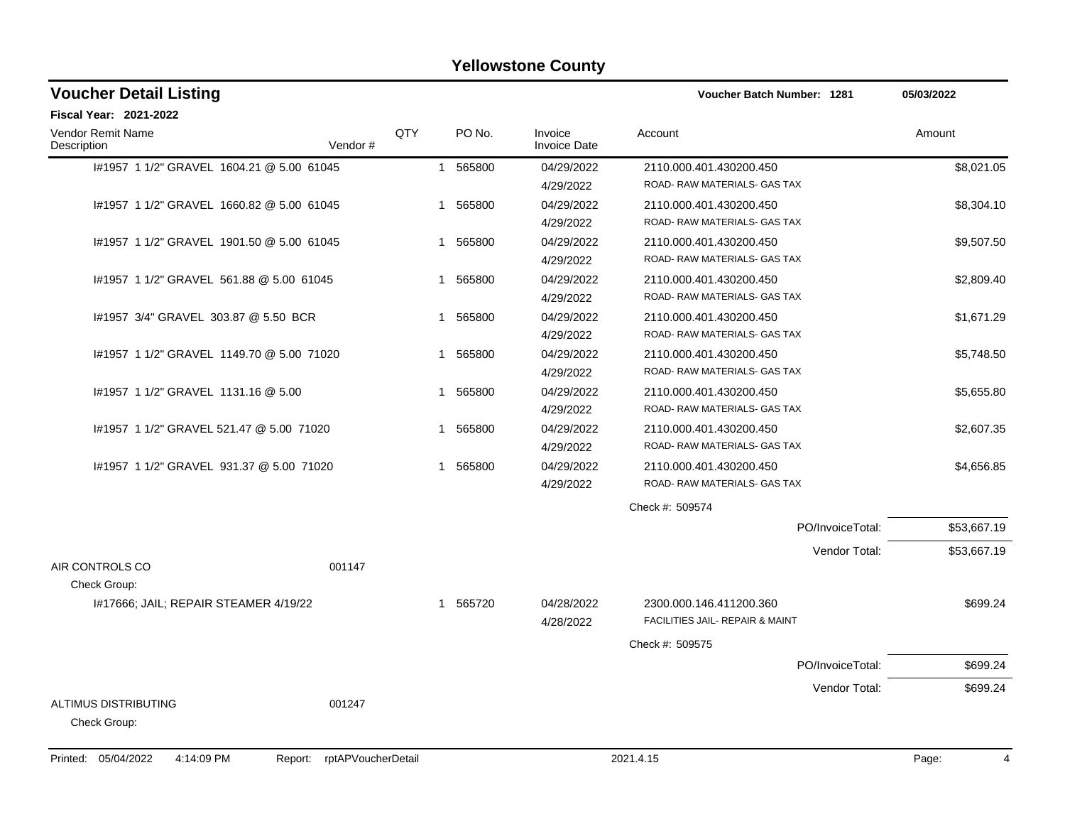| <b>Voucher Detail Listing</b>                | Voucher Batch Number: 1281 |              | 05/03/2022 |                                |                                                            |                  |             |
|----------------------------------------------|----------------------------|--------------|------------|--------------------------------|------------------------------------------------------------|------------------|-------------|
| <b>Fiscal Year: 2021-2022</b>                |                            |              |            |                                |                                                            |                  |             |
| <b>Vendor Remit Name</b><br>Description      | Vendor #                   | QTY          | PO No.     | Invoice<br><b>Invoice Date</b> | Account                                                    |                  | Amount      |
| I#1957 1 1/2" GRAVEL 1604.21 @ 5.00 61045    |                            |              | 1 565800   | 04/29/2022<br>4/29/2022        | 2110.000.401.430200.450<br>ROAD- RAW MATERIALS- GAS TAX    |                  | \$8,021.05  |
| I#1957 1 1/2" GRAVEL 1660.82 @ 5.00 61045    |                            |              | 1 565800   | 04/29/2022<br>4/29/2022        | 2110.000.401.430200.450<br>ROAD- RAW MATERIALS- GAS TAX    |                  | \$8,304.10  |
| #1957 1 1/2" GRAVEL 1901.50 @ 5.00 61045     |                            |              | 1 565800   | 04/29/2022<br>4/29/2022        | 2110.000.401.430200.450<br>ROAD- RAW MATERIALS- GAS TAX    |                  | \$9,507.50  |
| #1957 1 1/2" GRAVEL 561.88 @ 5.00 61045      |                            | 1            | 565800     | 04/29/2022<br>4/29/2022        | 2110.000.401.430200.450<br>ROAD- RAW MATERIALS- GAS TAX    |                  | \$2,809.40  |
| #1957 3/4" GRAVEL 303.87 @ 5.50 BCR          |                            | 1            | 565800     | 04/29/2022<br>4/29/2022        | 2110.000.401.430200.450<br>ROAD- RAW MATERIALS- GAS TAX    |                  | \$1,671.29  |
| #1957 1 1/2" GRAVEL 1149.70 @ 5.00 71020     |                            | $\mathbf{1}$ | 565800     | 04/29/2022<br>4/29/2022        | 2110.000.401.430200.450<br>ROAD- RAW MATERIALS- GAS TAX    |                  | \$5,748.50  |
| #1957 1 1/2" GRAVEL 1131.16 @ 5.00           |                            | 1            | 565800     | 04/29/2022<br>4/29/2022        | 2110.000.401.430200.450<br>ROAD- RAW MATERIALS- GAS TAX    |                  | \$5,655.80  |
| #1957 1 1/2" GRAVEL 521.47 @ 5.00 71020      |                            | $\mathbf{1}$ | 565800     | 04/29/2022<br>4/29/2022        | 2110.000.401.430200.450<br>ROAD- RAW MATERIALS- GAS TAX    |                  | \$2,607.35  |
| #1957 1 1/2" GRAVEL 931.37 @ 5.00 71020      |                            | 1            | 565800     | 04/29/2022<br>4/29/2022        | 2110.000.401.430200.450<br>ROAD-RAW MATERIALS-GAS TAX      |                  | \$4,656.85  |
|                                              |                            |              |            |                                | Check #: 509574                                            |                  |             |
|                                              |                            |              |            |                                |                                                            | PO/InvoiceTotal: | \$53,667.19 |
| AIR CONTROLS CO<br>Check Group:              | 001147                     |              |            |                                |                                                            | Vendor Total:    | \$53,667.19 |
| 1#17666; JAIL; REPAIR STEAMER 4/19/22        |                            |              | 1 565720   | 04/28/2022<br>4/28/2022        | 2300.000.146.411200.360<br>FACILITIES JAIL- REPAIR & MAINT |                  | \$699.24    |
|                                              |                            |              |            |                                | Check #: 509575                                            |                  |             |
|                                              |                            |              |            |                                |                                                            | PO/InvoiceTotal: | \$699.24    |
| <b>ALTIMUS DISTRIBUTING</b>                  | 001247                     |              |            |                                |                                                            | Vendor Total:    | \$699.24    |
| Check Group:                                 |                            |              |            |                                |                                                            |                  |             |
| Printed: 05/04/2022<br>4:14:09 PM<br>Report: | rptAPVoucherDetail         |              |            |                                | 2021.4.15                                                  |                  | Page:<br>4  |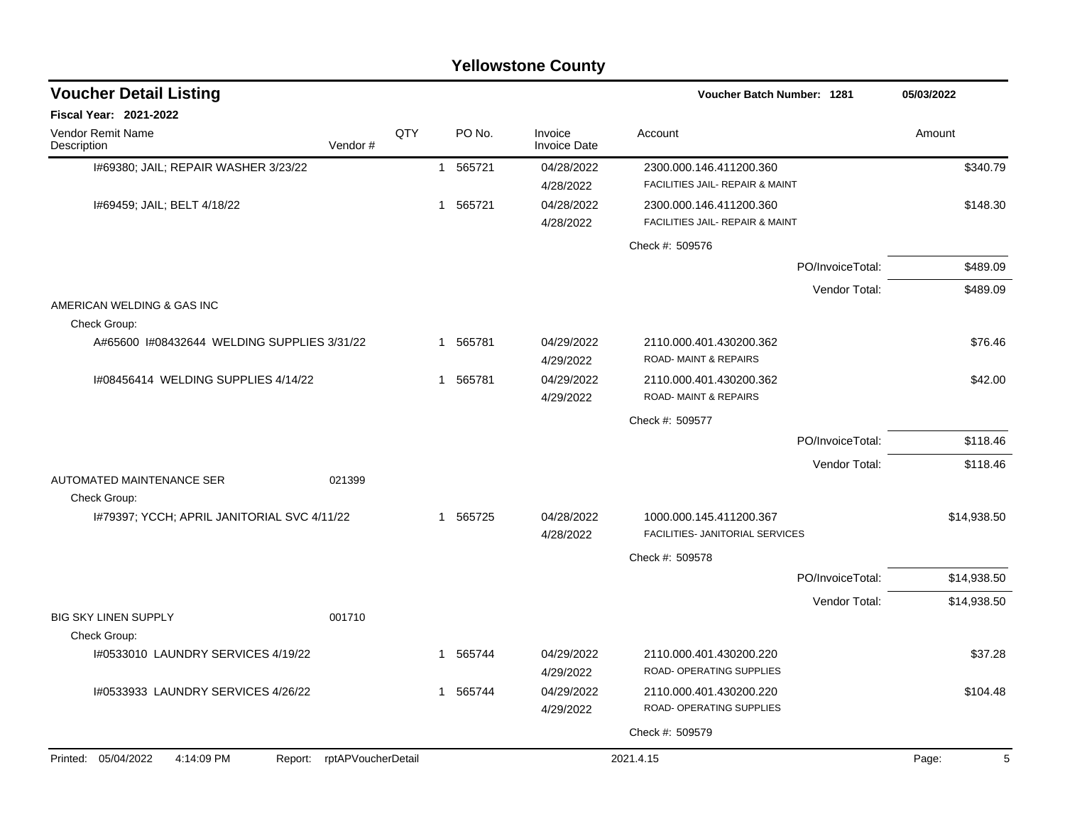|                                             |                            |     |                        | <b>Yellowstone County</b>      |                                                                       |                  |             |
|---------------------------------------------|----------------------------|-----|------------------------|--------------------------------|-----------------------------------------------------------------------|------------------|-------------|
| <b>Voucher Detail Listing</b>               |                            |     |                        |                                | Voucher Batch Number: 1281                                            |                  | 05/03/2022  |
| <b>Fiscal Year: 2021-2022</b>               |                            |     |                        |                                |                                                                       |                  |             |
| Vendor Remit Name<br>Description            | Vendor#                    | QTY | PO No.                 | Invoice<br><b>Invoice Date</b> | Account                                                               |                  | Amount      |
| 1#69380; JAIL; REPAIR WASHER 3/23/22        |                            |     | 565721<br>$\mathbf{1}$ | 04/28/2022<br>4/28/2022        | 2300.000.146.411200.360<br>FACILITIES JAIL- REPAIR & MAINT            |                  | \$340.79    |
| I#69459; JAIL; BELT 4/18/22                 |                            |     | 565721<br>$\mathbf{1}$ | 04/28/2022<br>4/28/2022        | 2300.000.146.411200.360<br><b>FACILITIES JAIL- REPAIR &amp; MAINT</b> |                  | \$148.30    |
|                                             |                            |     |                        |                                | Check #: 509576                                                       |                  |             |
|                                             |                            |     |                        |                                |                                                                       | PO/InvoiceTotal: | \$489.09    |
|                                             |                            |     |                        |                                |                                                                       | Vendor Total:    | \$489.09    |
| AMERICAN WELDING & GAS INC<br>Check Group:  |                            |     |                        |                                |                                                                       |                  |             |
| A#65600 1#08432644 WELDING SUPPLIES 3/31/22 |                            |     | 565781<br>1.           | 04/29/2022<br>4/29/2022        | 2110.000.401.430200.362<br><b>ROAD-MAINT &amp; REPAIRS</b>            |                  | \$76.46     |
| I#08456414 WELDING SUPPLIES 4/14/22         |                            |     | 565781<br>1            | 04/29/2022<br>4/29/2022        | 2110.000.401.430200.362<br>ROAD-MAINT & REPAIRS                       |                  | \$42.00     |
|                                             |                            |     |                        |                                | Check #: 509577                                                       |                  |             |
|                                             |                            |     |                        |                                |                                                                       | PO/InvoiceTotal: | \$118.46    |
|                                             |                            |     |                        |                                |                                                                       | Vendor Total:    | \$118.46    |
| AUTOMATED MAINTENANCE SER<br>Check Group:   | 021399                     |     |                        |                                |                                                                       |                  |             |
| I#79397; YCCH; APRIL JANITORIAL SVC 4/11/22 |                            |     | 565725<br>1.           | 04/28/2022<br>4/28/2022        | 1000.000.145.411200.367<br>FACILITIES- JANITORIAL SERVICES            |                  | \$14,938.50 |
|                                             |                            |     |                        |                                | Check #: 509578                                                       |                  |             |
|                                             |                            |     |                        |                                |                                                                       | PO/InvoiceTotal: | \$14,938.50 |
|                                             |                            |     |                        |                                |                                                                       | Vendor Total:    | \$14,938.50 |
| <b>BIG SKY LINEN SUPPLY</b>                 | 001710                     |     |                        |                                |                                                                       |                  |             |
| Check Group:                                |                            |     |                        |                                |                                                                       |                  |             |
| I#0533010 LAUNDRY SERVICES 4/19/22          |                            |     | 565744<br>$\mathbf{1}$ | 04/29/2022<br>4/29/2022        | 2110.000.401.430200.220<br>ROAD- OPERATING SUPPLIES                   |                  | \$37.28     |
| 1#0533933 LAUNDRY SERVICES 4/26/22          |                            |     | 1 565744               | 04/29/2022<br>4/29/2022        | 2110.000.401.430200.220<br>ROAD- OPERATING SUPPLIES                   |                  | \$104.48    |
|                                             |                            |     |                        |                                | Check #: 509579                                                       |                  |             |
| Printed: 05/04/2022<br>4:14:09 PM           | Report: rptAPVoucherDetail |     |                        |                                | 2021.4.15                                                             |                  | Page:<br>5  |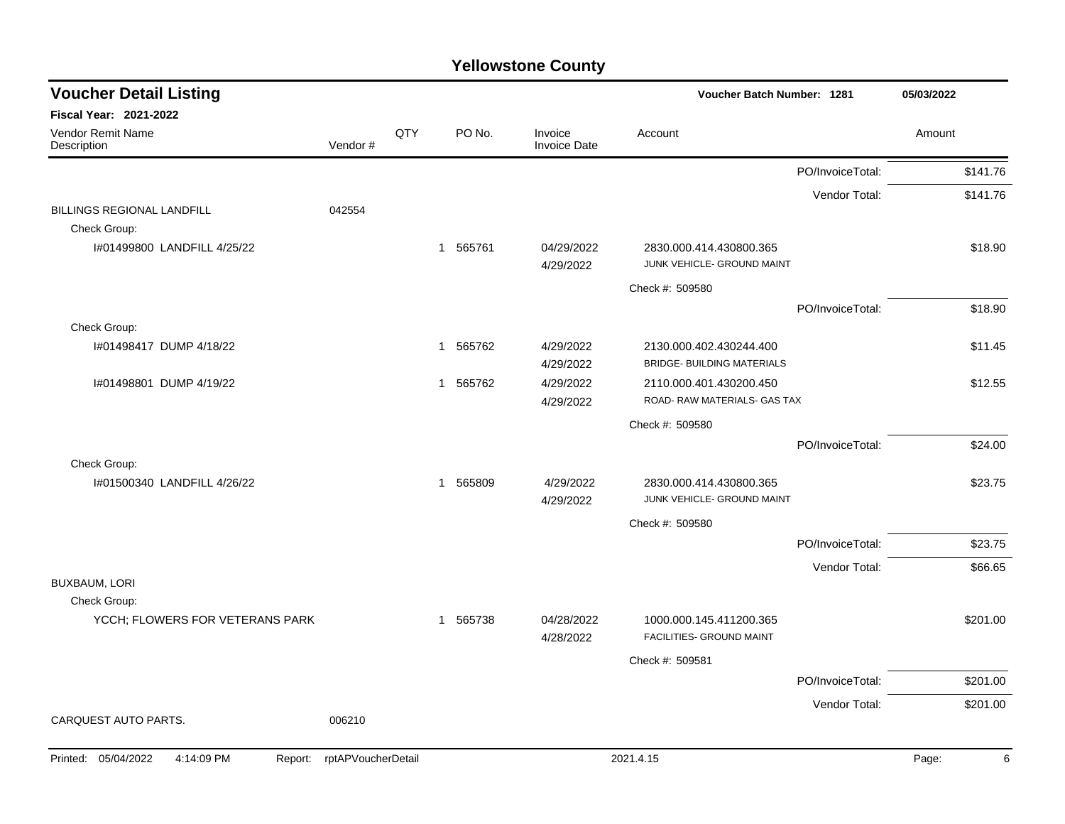| <b>Voucher Detail Listing</b>                   |                    |     |                        |                                | Voucher Batch Number: 1281                                   |                  | 05/03/2022 |
|-------------------------------------------------|--------------------|-----|------------------------|--------------------------------|--------------------------------------------------------------|------------------|------------|
| Fiscal Year: 2021-2022                          |                    |     |                        |                                |                                                              |                  |            |
| Vendor Remit Name<br>Description                | Vendor#            | QTY | PO No.                 | Invoice<br><b>Invoice Date</b> | Account                                                      |                  | Amount     |
|                                                 |                    |     |                        |                                |                                                              | PO/InvoiceTotal: | \$141.76   |
| BILLINGS REGIONAL LANDFILL                      | 042554             |     |                        |                                |                                                              | Vendor Total:    | \$141.76   |
| Check Group:                                    |                    |     |                        |                                |                                                              |                  |            |
| I#01499800 LANDFILL 4/25/22                     |                    |     | 1 565761               | 04/29/2022<br>4/29/2022        | 2830.000.414.430800.365<br>JUNK VEHICLE- GROUND MAINT        |                  | \$18.90    |
|                                                 |                    |     |                        |                                | Check #: 509580                                              |                  |            |
|                                                 |                    |     |                        |                                |                                                              | PO/InvoiceTotal: | \$18.90    |
| Check Group:                                    |                    |     |                        |                                |                                                              |                  |            |
| I#01498417 DUMP 4/18/22                         |                    |     | 1 565762               | 4/29/2022<br>4/29/2022         | 2130.000.402.430244.400<br><b>BRIDGE- BUILDING MATERIALS</b> |                  | \$11.45    |
| I#01498801 DUMP 4/19/22                         |                    |     | 565762<br>$\mathbf{1}$ | 4/29/2022<br>4/29/2022         | 2110.000.401.430200.450<br>ROAD-RAW MATERIALS- GAS TAX       |                  | \$12.55    |
|                                                 |                    |     |                        |                                | Check #: 509580                                              |                  |            |
|                                                 |                    |     |                        |                                |                                                              | PO/InvoiceTotal: | \$24.00    |
| Check Group:                                    |                    |     |                        |                                |                                                              |                  |            |
| 1#01500340 LANDFILL 4/26/22                     |                    |     | 1 565809               | 4/29/2022<br>4/29/2022         | 2830.000.414.430800.365<br>JUNK VEHICLE- GROUND MAINT        |                  | \$23.75    |
|                                                 |                    |     |                        |                                | Check #: 509580                                              |                  |            |
|                                                 |                    |     |                        |                                |                                                              | PO/InvoiceTotal: | \$23.75    |
|                                                 |                    |     |                        |                                |                                                              | Vendor Total:    | \$66.65    |
| <b>BUXBAUM, LORI</b>                            |                    |     |                        |                                |                                                              |                  |            |
| Check Group:<br>YCCH; FLOWERS FOR VETERANS PARK |                    |     | 1 565738               | 04/28/2022<br>4/28/2022        | 1000.000.145.411200.365<br>FACILITIES- GROUND MAINT          |                  | \$201.00   |
|                                                 |                    |     |                        |                                | Check #: 509581                                              |                  |            |
|                                                 |                    |     |                        |                                |                                                              | PO/InvoiceTotal: | \$201.00   |
|                                                 |                    |     |                        |                                |                                                              | Vendor Total:    | \$201.00   |
| CARQUEST AUTO PARTS.                            | 006210             |     |                        |                                |                                                              |                  |            |
| Printed: 05/04/2022<br>4:14:09 PM<br>Report:    | rptAPVoucherDetail |     |                        |                                | 2021.4.15                                                    |                  | 6<br>Page: |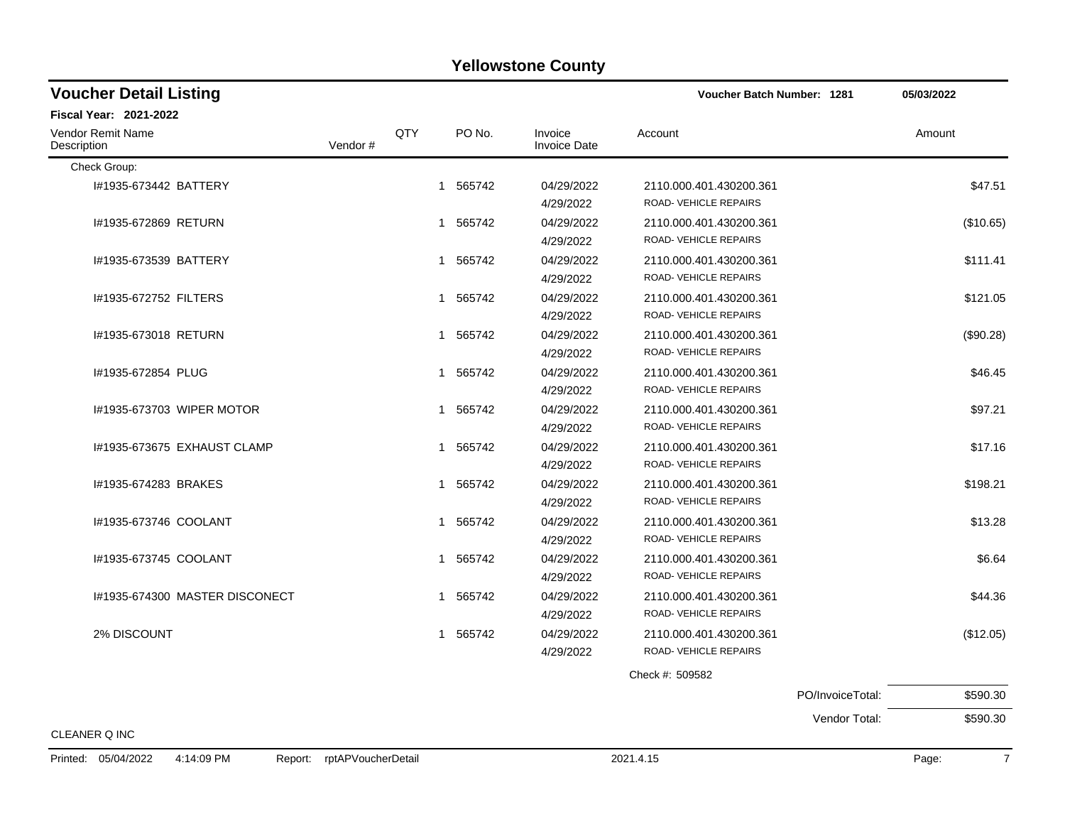| <b>Yellowstone County</b> |  |
|---------------------------|--|
|---------------------------|--|

| <b>Voucher Detail Listing</b>           |         |     |          |                                | <b>Voucher Batch Number: 1281</b>                |                  | 05/03/2022 |
|-----------------------------------------|---------|-----|----------|--------------------------------|--------------------------------------------------|------------------|------------|
| <b>Fiscal Year: 2021-2022</b>           |         |     |          |                                |                                                  |                  |            |
| <b>Vendor Remit Name</b><br>Description | Vendor# | QTY | PO No.   | Invoice<br><b>Invoice Date</b> | Account                                          |                  | Amount     |
| Check Group:                            |         |     |          |                                |                                                  |                  |            |
| I#1935-673442 BATTERY                   |         |     | 1 565742 | 04/29/2022<br>4/29/2022        | 2110.000.401.430200.361<br>ROAD-VEHICLE REPAIRS  |                  | \$47.51    |
| #1935-672869 RETURN                     |         |     | 1 565742 | 04/29/2022<br>4/29/2022        | 2110.000.401.430200.361<br>ROAD-VEHICLE REPAIRS  |                  | (\$10.65)  |
| #1935-673539 BATTERY                    |         |     | 1 565742 | 04/29/2022<br>4/29/2022        | 2110.000.401.430200.361<br>ROAD- VEHICLE REPAIRS |                  | \$111.41   |
| #1935-672752 FILTERS                    |         |     | 1 565742 | 04/29/2022<br>4/29/2022        | 2110.000.401.430200.361<br>ROAD- VEHICLE REPAIRS |                  | \$121.05   |
| #1935-673018 RETURN                     |         |     | 1 565742 | 04/29/2022<br>4/29/2022        | 2110.000.401.430200.361<br>ROAD- VEHICLE REPAIRS |                  | (\$90.28)  |
| I#1935-672854 PLUG                      |         |     | 1 565742 | 04/29/2022<br>4/29/2022        | 2110.000.401.430200.361<br>ROAD- VEHICLE REPAIRS |                  | \$46.45    |
| 1#1935-673703 WIPER MOTOR               |         |     | 1 565742 | 04/29/2022<br>4/29/2022        | 2110.000.401.430200.361<br>ROAD- VEHICLE REPAIRS |                  | \$97.21    |
| 1#1935-673675 EXHAUST CLAMP             |         |     | 1 565742 | 04/29/2022<br>4/29/2022        | 2110.000.401.430200.361<br>ROAD- VEHICLE REPAIRS |                  | \$17.16    |
| I#1935-674283 BRAKES                    |         |     | 1 565742 | 04/29/2022<br>4/29/2022        | 2110.000.401.430200.361<br>ROAD- VEHICLE REPAIRS |                  | \$198.21   |
| I#1935-673746 COOLANT                   |         |     | 1 565742 | 04/29/2022<br>4/29/2022        | 2110.000.401.430200.361<br>ROAD- VEHICLE REPAIRS |                  | \$13.28    |
| I#1935-673745 COOLANT                   |         |     | 1 565742 | 04/29/2022<br>4/29/2022        | 2110.000.401.430200.361<br>ROAD- VEHICLE REPAIRS |                  | \$6.64     |
| I#1935-674300 MASTER DISCONECT          |         |     | 1 565742 | 04/29/2022<br>4/29/2022        | 2110.000.401.430200.361<br>ROAD- VEHICLE REPAIRS |                  | \$44.36    |
| 2% DISCOUNT                             |         |     | 1 565742 | 04/29/2022<br>4/29/2022        | 2110.000.401.430200.361<br>ROAD- VEHICLE REPAIRS |                  | (\$12.05)  |
|                                         |         |     |          |                                | Check #: 509582                                  |                  |            |
|                                         |         |     |          |                                |                                                  | PO/InvoiceTotal: | \$590.30   |
|                                         |         |     |          |                                |                                                  | Vendor Total:    | \$590.30   |
| <b>CLEANER Q INC</b>                    |         |     |          |                                |                                                  |                  |            |

Printed: 05/04/2022 4:14:09 PM Report: rptAPVoucherDetail 2021.4.15 2021.4.15 Page: 7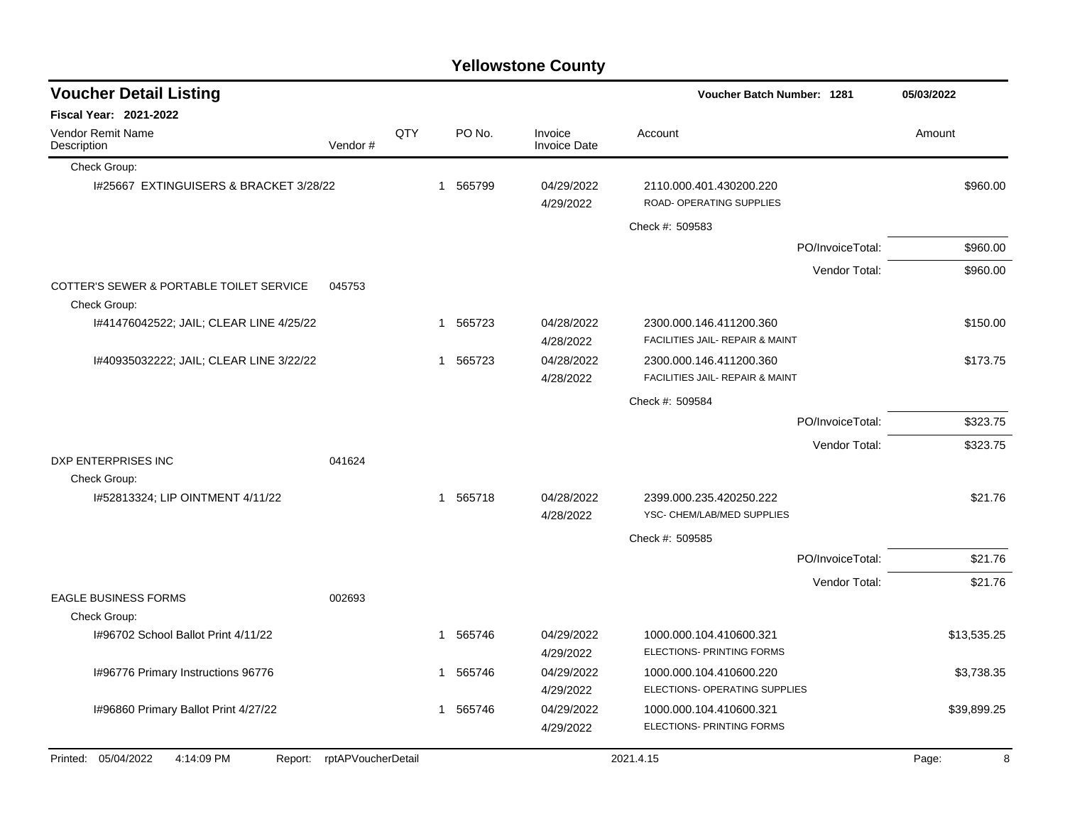|                                                          |                            |     |              |        | <b>Yellowstone County</b>      |                                                            |                  |             |
|----------------------------------------------------------|----------------------------|-----|--------------|--------|--------------------------------|------------------------------------------------------------|------------------|-------------|
| <b>Voucher Detail Listing</b>                            |                            |     |              |        |                                | <b>Voucher Batch Number: 1281</b>                          |                  | 05/03/2022  |
| Fiscal Year: 2021-2022                                   |                            |     |              |        |                                |                                                            |                  |             |
| Vendor Remit Name<br>Description                         | Vendor#                    | QTY |              | PO No. | Invoice<br><b>Invoice Date</b> | Account                                                    |                  | Amount      |
| Check Group:                                             |                            |     |              |        |                                |                                                            |                  |             |
| I#25667 EXTINGUISERS & BRACKET 3/28/22                   |                            |     | $\mathbf 1$  | 565799 | 04/29/2022<br>4/29/2022        | 2110.000.401.430200.220<br>ROAD- OPERATING SUPPLIES        |                  | \$960.00    |
|                                                          |                            |     |              |        |                                | Check #: 509583                                            |                  |             |
|                                                          |                            |     |              |        |                                |                                                            | PO/InvoiceTotal: | \$960.00    |
|                                                          |                            |     |              |        |                                |                                                            | Vendor Total:    | \$960.00    |
| COTTER'S SEWER & PORTABLE TOILET SERVICE<br>Check Group: | 045753                     |     |              |        |                                |                                                            |                  |             |
| I#41476042522; JAIL; CLEAR LINE 4/25/22                  |                            |     | -1           | 565723 | 04/28/2022<br>4/28/2022        | 2300.000.146.411200.360<br>FACILITIES JAIL- REPAIR & MAINT |                  | \$150.00    |
| I#40935032222; JAIL; CLEAR LINE 3/22/22                  |                            |     | $\mathbf{1}$ | 565723 | 04/28/2022<br>4/28/2022        | 2300.000.146.411200.360<br>FACILITIES JAIL- REPAIR & MAINT |                  | \$173.75    |
|                                                          |                            |     |              |        |                                | Check #: 509584                                            |                  |             |
|                                                          |                            |     |              |        |                                |                                                            | PO/InvoiceTotal: | \$323.75    |
|                                                          |                            |     |              |        |                                |                                                            | Vendor Total:    | \$323.75    |
| DXP ENTERPRISES INC                                      | 041624                     |     |              |        |                                |                                                            |                  |             |
| Check Group:                                             |                            |     |              |        |                                |                                                            |                  |             |
| I#52813324; LIP OINTMENT 4/11/22                         |                            |     | $\mathbf{1}$ | 565718 | 04/28/2022<br>4/28/2022        | 2399.000.235.420250.222<br>YSC- CHEM/LAB/MED SUPPLIES      |                  | \$21.76     |
|                                                          |                            |     |              |        |                                | Check #: 509585                                            |                  |             |
|                                                          |                            |     |              |        |                                |                                                            | PO/InvoiceTotal: | \$21.76     |
|                                                          |                            |     |              |        |                                |                                                            | Vendor Total:    | \$21.76     |
| <b>EAGLE BUSINESS FORMS</b>                              | 002693                     |     |              |        |                                |                                                            |                  |             |
| Check Group:<br>1#96702 School Ballot Print 4/11/22      |                            |     | $\mathbf 1$  | 565746 | 04/29/2022                     | 1000.000.104.410600.321                                    |                  | \$13,535.25 |
|                                                          |                            |     |              |        | 4/29/2022                      | ELECTIONS- PRINTING FORMS                                  |                  |             |
| I#96776 Primary Instructions 96776                       |                            |     | 1            | 565746 | 04/29/2022<br>4/29/2022        | 1000.000.104.410600.220<br>ELECTIONS- OPERATING SUPPLIES   |                  | \$3,738.35  |
| I#96860 Primary Ballot Print 4/27/22                     |                            |     | 1            | 565746 | 04/29/2022<br>4/29/2022        | 1000.000.104.410600.321<br>ELECTIONS- PRINTING FORMS       |                  | \$39,899.25 |
| Printed: 05/04/2022<br>4:14:09 PM                        | Report: rptAPVoucherDetail |     |              |        |                                |                                                            |                  |             |
|                                                          |                            |     |              |        |                                | 2021.4.15                                                  |                  | Page:<br>8  |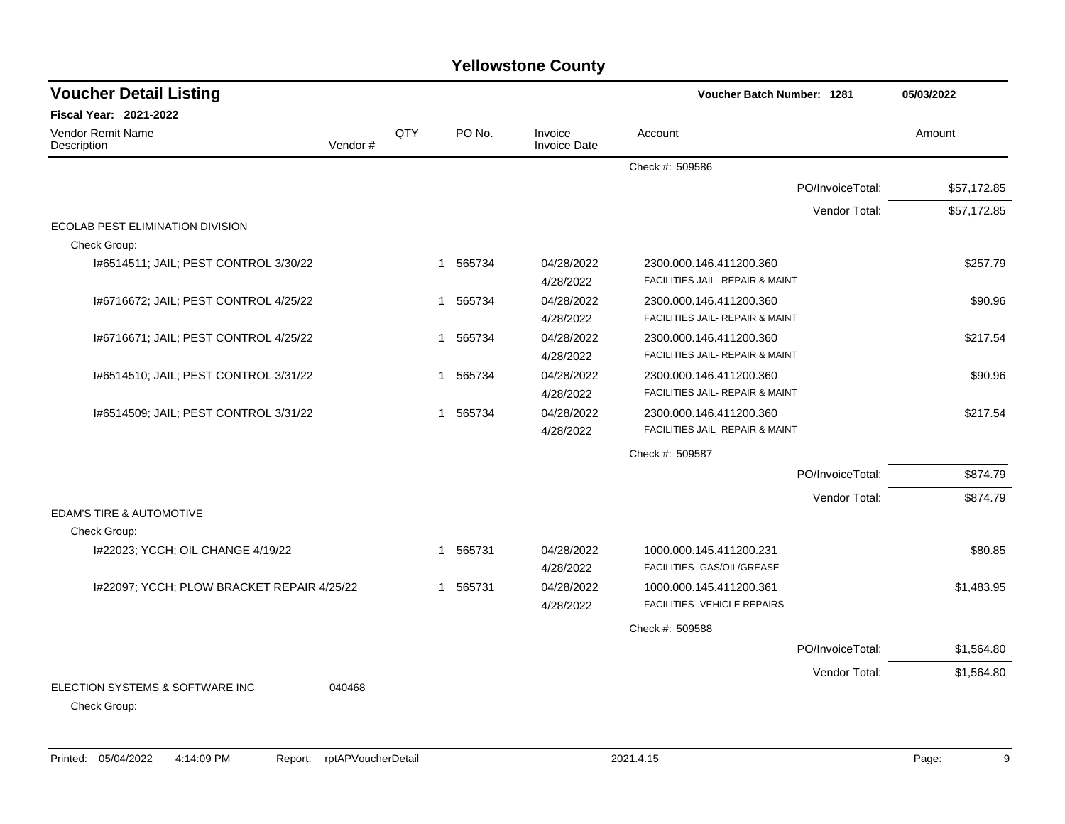| <b>Voucher Detail Listing</b>                   |         |     |                        |                                | Voucher Batch Number: 1281                 |                  | 05/03/2022  |
|-------------------------------------------------|---------|-----|------------------------|--------------------------------|--------------------------------------------|------------------|-------------|
| <b>Fiscal Year: 2021-2022</b>                   |         |     |                        |                                |                                            |                  |             |
| Vendor Remit Name<br>Description                | Vendor# | QTY | PO No.                 | Invoice<br><b>Invoice Date</b> | Account                                    |                  | Amount      |
|                                                 |         |     |                        |                                | Check #: 509586                            |                  |             |
|                                                 |         |     |                        |                                |                                            | PO/InvoiceTotal: | \$57,172.85 |
|                                                 |         |     |                        |                                |                                            | Vendor Total:    | \$57,172.85 |
| ECOLAB PEST ELIMINATION DIVISION                |         |     |                        |                                |                                            |                  |             |
| Check Group:                                    |         |     |                        |                                |                                            |                  |             |
| I#6514511; JAIL; PEST CONTROL 3/30/22           |         |     | 1 565734               | 04/28/2022                     | 2300.000.146.411200.360                    |                  | \$257.79    |
|                                                 |         |     |                        | 4/28/2022                      | FACILITIES JAIL- REPAIR & MAINT            |                  |             |
| I#6716672; JAIL; PEST CONTROL 4/25/22           |         |     | 1 565734               | 04/28/2022                     | 2300.000.146.411200.360                    |                  | \$90.96     |
|                                                 |         |     |                        | 4/28/2022                      | FACILITIES JAIL- REPAIR & MAINT            |                  |             |
| 1#6716671; JAIL; PEST CONTROL 4/25/22           |         |     | 565734<br>1            | 04/28/2022                     | 2300.000.146.411200.360                    |                  | \$217.54    |
|                                                 |         |     |                        | 4/28/2022                      | FACILITIES JAIL- REPAIR & MAINT            |                  |             |
| I#6514510; JAIL; PEST CONTROL 3/31/22           |         |     | 565734<br>1            | 04/28/2022                     | 2300.000.146.411200.360                    |                  | \$90.96     |
|                                                 |         |     |                        | 4/28/2022                      | FACILITIES JAIL- REPAIR & MAINT            |                  |             |
| I#6514509; JAIL; PEST CONTROL 3/31/22           |         |     | 1 565734               | 04/28/2022                     | 2300.000.146.411200.360                    |                  | \$217.54    |
|                                                 |         |     |                        | 4/28/2022                      | <b>FACILITIES JAIL- REPAIR &amp; MAINT</b> |                  |             |
|                                                 |         |     |                        |                                | Check #: 509587                            |                  |             |
|                                                 |         |     |                        |                                |                                            | PO/InvoiceTotal: | \$874.79    |
|                                                 |         |     |                        |                                |                                            | Vendor Total:    | \$874.79    |
| <b>EDAM'S TIRE &amp; AUTOMOTIVE</b>             |         |     |                        |                                |                                            |                  |             |
| Check Group:                                    |         |     |                        |                                |                                            |                  |             |
| I#22023; YCCH; OIL CHANGE 4/19/22               |         |     | 1 565731               | 04/28/2022                     | 1000.000.145.411200.231                    |                  | \$80.85     |
|                                                 |         |     |                        | 4/28/2022                      | FACILITIES- GAS/OIL/GREASE                 |                  |             |
| I#22097; YCCH; PLOW BRACKET REPAIR 4/25/22      |         |     | 565731<br>$\mathbf{1}$ | 04/28/2022                     | 1000.000.145.411200.361                    |                  | \$1,483.95  |
|                                                 |         |     |                        | 4/28/2022                      | FACILITIES- VEHICLE REPAIRS                |                  |             |
|                                                 |         |     |                        |                                | Check #: 509588                            |                  |             |
|                                                 |         |     |                        |                                |                                            | PO/InvoiceTotal: | \$1,564.80  |
|                                                 |         |     |                        |                                |                                            | Vendor Total:    | \$1,564.80  |
| ELECTION SYSTEMS & SOFTWARE INC<br>Check Group: | 040468  |     |                        |                                |                                            |                  |             |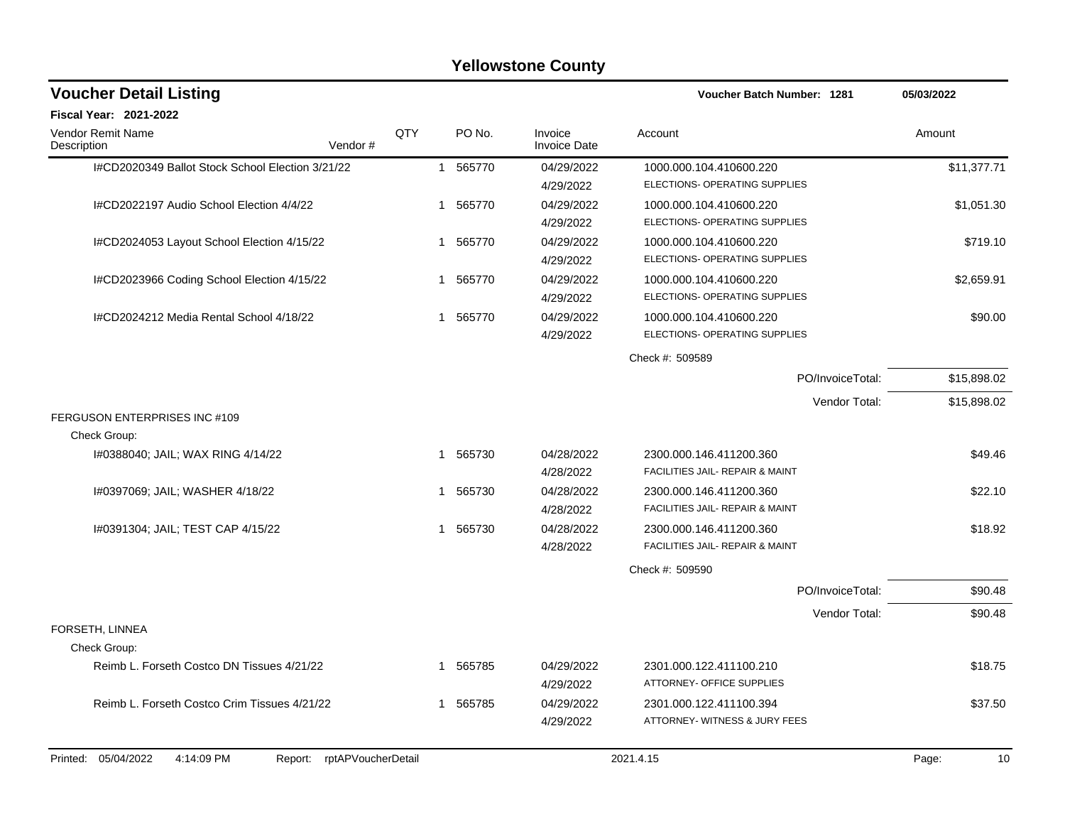|                                                                    |     |                          | <b>Yellowstone County</b>      |                                                            |             |
|--------------------------------------------------------------------|-----|--------------------------|--------------------------------|------------------------------------------------------------|-------------|
| <b>Voucher Detail Listing</b>                                      |     |                          |                                | <b>Voucher Batch Number: 1281</b>                          | 05/03/2022  |
| <b>Fiscal Year: 2021-2022</b>                                      |     |                          |                                |                                                            |             |
| Vendor Remit Name<br>Vendor#<br>Description                        | QTY | PO No.                   | Invoice<br><b>Invoice Date</b> | Account                                                    | Amount      |
| I#CD2020349 Ballot Stock School Election 3/21/22                   |     | 565770<br>$\mathbf{1}$   | 04/29/2022<br>4/29/2022        | 1000.000.104.410600.220<br>ELECTIONS- OPERATING SUPPLIES   | \$11,377.71 |
| I#CD2022197 Audio School Election 4/4/22                           |     | 565770<br>$\mathbf{1}$   | 04/29/2022<br>4/29/2022        | 1000.000.104.410600.220<br>ELECTIONS- OPERATING SUPPLIES   | \$1,051.30  |
| I#CD2024053 Layout School Election 4/15/22                         |     | 1 565770                 | 04/29/2022<br>4/29/2022        | 1000.000.104.410600.220<br>ELECTIONS- OPERATING SUPPLIES   | \$719.10    |
| I#CD2023966 Coding School Election 4/15/22                         |     | 565770<br>1              | 04/29/2022<br>4/29/2022        | 1000.000.104.410600.220<br>ELECTIONS- OPERATING SUPPLIES   | \$2,659.91  |
| I#CD2024212 Media Rental School 4/18/22                            |     | 565770<br>$\overline{1}$ | 04/29/2022<br>4/29/2022        | 1000.000.104.410600.220<br>ELECTIONS- OPERATING SUPPLIES   | \$90.00     |
|                                                                    |     |                          |                                | Check #: 509589                                            |             |
|                                                                    |     |                          |                                | PO/InvoiceTotal:                                           | \$15,898.02 |
|                                                                    |     |                          |                                | Vendor Total:                                              | \$15,898.02 |
| FERGUSON ENTERPRISES INC #109<br>Check Group:                      |     |                          |                                |                                                            |             |
| 1#0388040; JAIL; WAX RING 4/14/22                                  |     | 565730<br>1              | 04/28/2022<br>4/28/2022        | 2300.000.146.411200.360<br>FACILITIES JAIL- REPAIR & MAINT | \$49.46     |
| I#0397069; JAIL; WASHER 4/18/22                                    |     | 565730<br>-1             | 04/28/2022<br>4/28/2022        | 2300.000.146.411200.360<br>FACILITIES JAIL- REPAIR & MAINT | \$22.10     |
| I#0391304; JAIL; TEST CAP 4/15/22                                  |     | 1 565730                 | 04/28/2022<br>4/28/2022        | 2300.000.146.411200.360<br>FACILITIES JAIL- REPAIR & MAINT | \$18.92     |
|                                                                    |     |                          |                                | Check #: 509590                                            |             |
|                                                                    |     |                          |                                | PO/InvoiceTotal:                                           | \$90.48     |
|                                                                    |     |                          |                                | Vendor Total:                                              | \$90.48     |
| FORSETH, LINNEA<br>Check Group:                                    |     |                          |                                |                                                            |             |
| Reimb L. Forseth Costco DN Tissues 4/21/22                         |     | 1 565785                 | 04/29/2022<br>4/29/2022        | 2301.000.122.411100.210<br>ATTORNEY- OFFICE SUPPLIES       | \$18.75     |
| Reimb L. Forseth Costco Crim Tissues 4/21/22                       |     | 1 565785                 | 04/29/2022<br>4/29/2022        | 2301.000.122.411100.394<br>ATTORNEY-WITNESS & JURY FEES    | \$37.50     |
| Printed: 05/04/2022<br>4:14:09 PM<br>rptAPVoucherDetail<br>Report: |     |                          |                                | 2021.4.15                                                  | Page:<br>10 |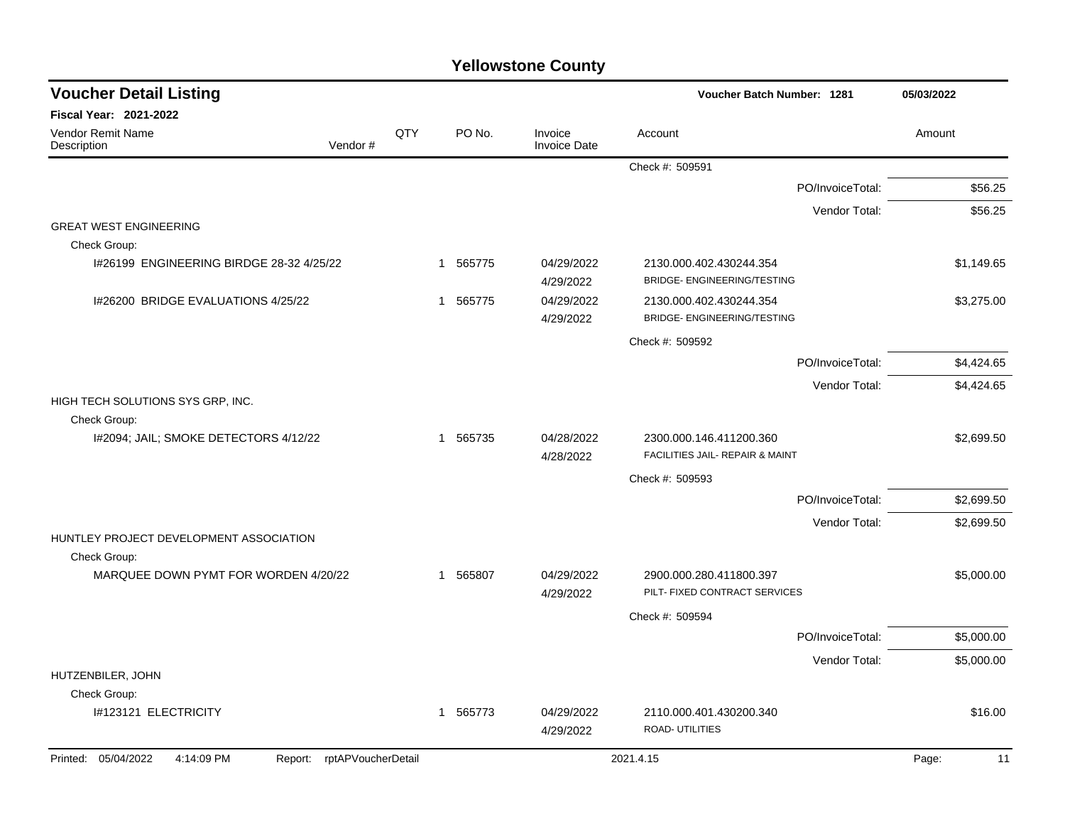| <b>Voucher Detail Listing</b>                           |                               |     |             |                                | Voucher Batch Number: 1281                                    |                  | 05/03/2022  |
|---------------------------------------------------------|-------------------------------|-----|-------------|--------------------------------|---------------------------------------------------------------|------------------|-------------|
| <b>Fiscal Year: 2021-2022</b>                           |                               |     |             |                                |                                                               |                  |             |
| Vendor Remit Name<br>Description                        | Vendor#                       | QTY | PO No.      | Invoice<br><b>Invoice Date</b> | Account                                                       |                  | Amount      |
|                                                         |                               |     |             |                                | Check #: 509591                                               |                  |             |
|                                                         |                               |     |             |                                |                                                               | PO/InvoiceTotal: | \$56.25     |
|                                                         |                               |     |             |                                |                                                               | Vendor Total:    | \$56.25     |
| <b>GREAT WEST ENGINEERING</b><br>Check Group:           |                               |     |             |                                |                                                               |                  |             |
| 1#26199 ENGINEERING BIRDGE 28-32 4/25/22                |                               |     | 1 565775    | 04/29/2022<br>4/29/2022        | 2130.000.402.430244.354<br><b>BRIDGE- ENGINEERING/TESTING</b> |                  | \$1,149.65  |
| I#26200 BRIDGE EVALUATIONS 4/25/22                      |                               |     | 565775<br>1 | 04/29/2022<br>4/29/2022        | 2130.000.402.430244.354<br><b>BRIDGE- ENGINEERING/TESTING</b> |                  | \$3,275.00  |
|                                                         |                               |     |             |                                | Check #: 509592                                               |                  |             |
|                                                         |                               |     |             |                                |                                                               | PO/InvoiceTotal: | \$4,424.65  |
| HIGH TECH SOLUTIONS SYS GRP, INC.                       |                               |     |             |                                |                                                               | Vendor Total:    | \$4,424.65  |
| Check Group:                                            |                               |     |             |                                |                                                               |                  |             |
| I#2094; JAIL; SMOKE DETECTORS 4/12/22                   |                               |     | 1 565735    | 04/28/2022<br>4/28/2022        | 2300.000.146.411200.360<br>FACILITIES JAIL- REPAIR & MAINT    |                  | \$2,699.50  |
|                                                         |                               |     |             |                                | Check #: 509593                                               |                  |             |
|                                                         |                               |     |             |                                |                                                               | PO/InvoiceTotal: | \$2,699.50  |
|                                                         |                               |     |             |                                |                                                               | Vendor Total:    | \$2,699.50  |
| HUNTLEY PROJECT DEVELOPMENT ASSOCIATION<br>Check Group: |                               |     |             |                                |                                                               |                  |             |
| MARQUEE DOWN PYMT FOR WORDEN 4/20/22                    |                               |     | 1 565807    | 04/29/2022<br>4/29/2022        | 2900.000.280.411800.397<br>PILT- FIXED CONTRACT SERVICES      |                  | \$5,000.00  |
|                                                         |                               |     |             |                                | Check #: 509594                                               |                  |             |
|                                                         |                               |     |             |                                |                                                               | PO/InvoiceTotal: | \$5,000.00  |
|                                                         |                               |     |             |                                |                                                               | Vendor Total:    | \$5,000.00  |
| HUTZENBILER, JOHN                                       |                               |     |             |                                |                                                               |                  |             |
| Check Group:                                            |                               |     |             |                                |                                                               |                  |             |
| I#123121 ELECTRICITY                                    |                               |     | 1 565773    | 04/29/2022<br>4/29/2022        | 2110.000.401.430200.340<br>ROAD- UTILITIES                    |                  | \$16.00     |
| Printed: 05/04/2022<br>4:14:09 PM                       | rptAPVoucherDetail<br>Report: |     |             |                                | 2021.4.15                                                     |                  | Page:<br>11 |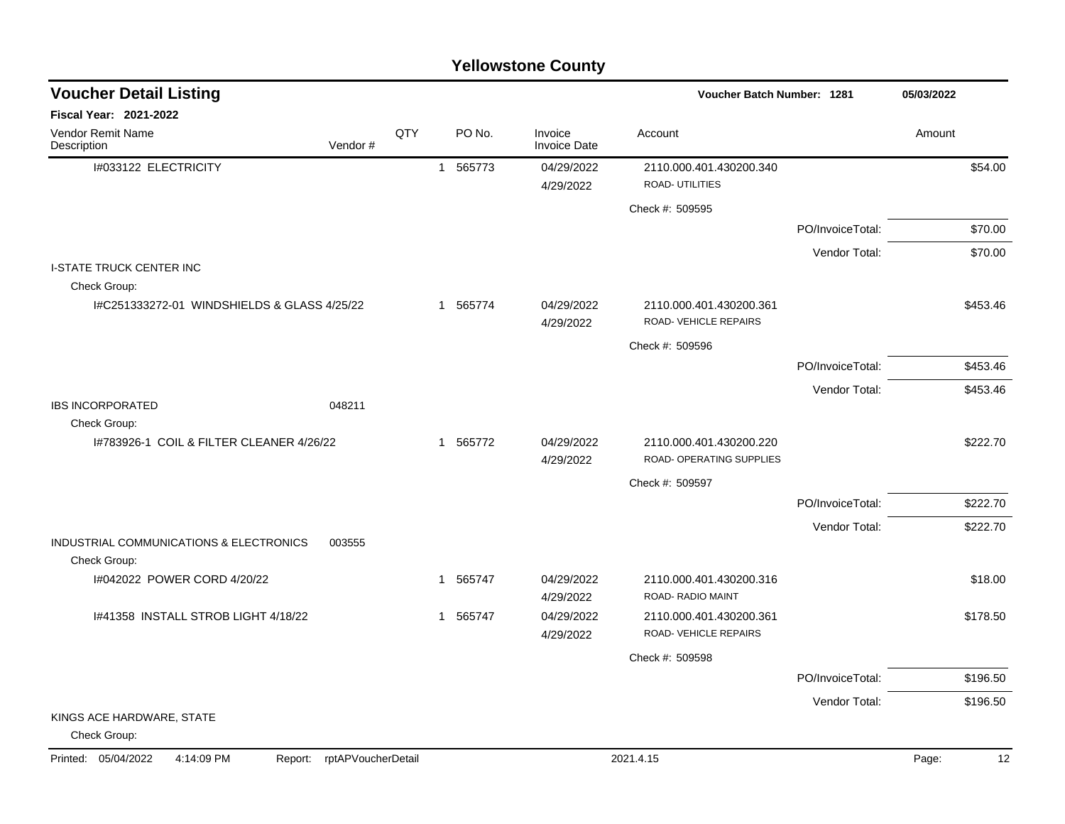| <b>Voucher Detail Listing</b>                           |                            |     |          |        |                                | Voucher Batch Number: 1281                          |                  | 05/03/2022  |
|---------------------------------------------------------|----------------------------|-----|----------|--------|--------------------------------|-----------------------------------------------------|------------------|-------------|
| <b>Fiscal Year: 2021-2022</b>                           |                            |     |          |        |                                |                                                     |                  |             |
| Vendor Remit Name<br>Description                        | Vendor #                   | QTY |          | PO No. | Invoice<br><b>Invoice Date</b> | Account                                             |                  | Amount      |
| I#033122 ELECTRICITY                                    |                            |     | 1 565773 |        | 04/29/2022<br>4/29/2022        | 2110.000.401.430200.340<br>ROAD- UTILITIES          |                  | \$54.00     |
|                                                         |                            |     |          |        |                                | Check #: 509595                                     |                  |             |
|                                                         |                            |     |          |        |                                |                                                     | PO/InvoiceTotal: | \$70.00     |
|                                                         |                            |     |          |        |                                |                                                     | Vendor Total:    | \$70.00     |
| <b>I-STATE TRUCK CENTER INC</b><br>Check Group:         |                            |     |          |        |                                |                                                     |                  |             |
| I#C251333272-01 WINDSHIELDS & GLASS 4/25/22             |                            |     | 1 565774 |        | 04/29/2022<br>4/29/2022        | 2110.000.401.430200.361<br>ROAD- VEHICLE REPAIRS    |                  | \$453.46    |
|                                                         |                            |     |          |        |                                | Check #: 509596                                     |                  |             |
|                                                         |                            |     |          |        |                                |                                                     | PO/InvoiceTotal: | \$453.46    |
|                                                         |                            |     |          |        |                                |                                                     | Vendor Total:    | \$453.46    |
| <b>IBS INCORPORATED</b><br>Check Group:                 | 048211                     |     |          |        |                                |                                                     |                  |             |
| 1#783926-1 COIL & FILTER CLEANER 4/26/22                |                            |     | 1 565772 |        | 04/29/2022<br>4/29/2022        | 2110.000.401.430200.220<br>ROAD- OPERATING SUPPLIES |                  | \$222.70    |
|                                                         |                            |     |          |        |                                | Check #: 509597                                     |                  |             |
|                                                         |                            |     |          |        |                                |                                                     | PO/InvoiceTotal: | \$222.70    |
|                                                         |                            |     |          |        |                                |                                                     | Vendor Total:    | \$222.70    |
| INDUSTRIAL COMMUNICATIONS & ELECTRONICS<br>Check Group: | 003555                     |     |          |        |                                |                                                     |                  |             |
| I#042022 POWER CORD 4/20/22                             |                            |     | 1 565747 |        | 04/29/2022<br>4/29/2022        | 2110.000.401.430200.316<br>ROAD-RADIO MAINT         |                  | \$18.00     |
| 1#41358 INSTALL STROB LIGHT 4/18/22                     |                            |     | 1 565747 |        | 04/29/2022<br>4/29/2022        | 2110.000.401.430200.361<br>ROAD-VEHICLE REPAIRS     |                  | \$178.50    |
|                                                         |                            |     |          |        |                                | Check #: 509598                                     |                  |             |
|                                                         |                            |     |          |        |                                |                                                     | PO/InvoiceTotal: | \$196.50    |
|                                                         |                            |     |          |        |                                |                                                     | Vendor Total:    | \$196.50    |
| KINGS ACE HARDWARE, STATE<br>Check Group:               |                            |     |          |        |                                |                                                     |                  |             |
| Printed: 05/04/2022<br>4:14:09 PM                       | Report: rptAPVoucherDetail |     |          |        |                                | 2021.4.15                                           |                  | 12<br>Page: |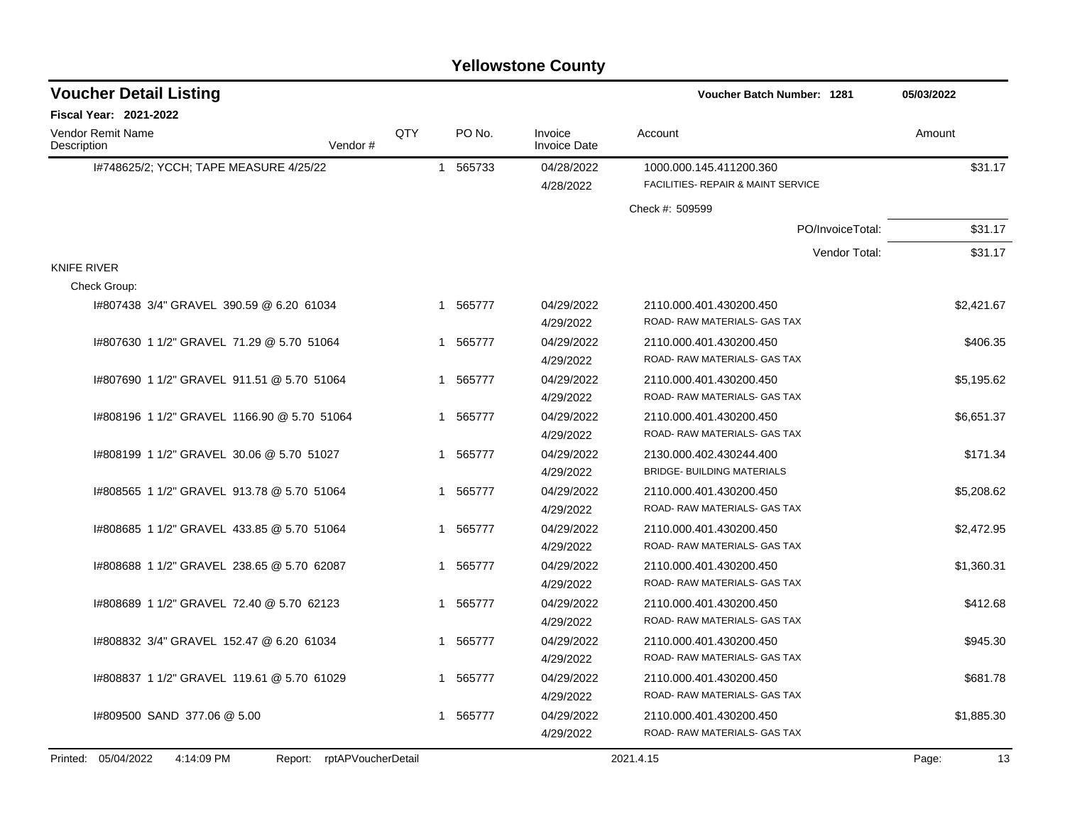| <b>Yellowstone County</b> |  |
|---------------------------|--|
|---------------------------|--|

| <b>Voucher Detail Listing</b>               |                            |     |             |                                | Voucher Batch Number: 1281                                    | 05/03/2022  |
|---------------------------------------------|----------------------------|-----|-------------|--------------------------------|---------------------------------------------------------------|-------------|
| <b>Fiscal Year: 2021-2022</b>               |                            |     |             |                                |                                                               |             |
| Vendor Remit Name<br>Description            | Vendor#                    | QTY | PO No.      | Invoice<br><b>Invoice Date</b> | Account                                                       | Amount      |
| I#748625/2; YCCH; TAPE MEASURE 4/25/22      |                            |     | 1 565733    | 04/28/2022<br>4/28/2022        | 1000.000.145.411200.360<br>FACILITIES- REPAIR & MAINT SERVICE | \$31.17     |
|                                             |                            |     |             |                                | Check #: 509599                                               |             |
|                                             |                            |     |             |                                | PO/InvoiceTotal:                                              | \$31.17     |
|                                             |                            |     |             |                                | Vendor Total:                                                 | \$31.17     |
| <b>KNIFE RIVER</b><br>Check Group:          |                            |     |             |                                |                                                               |             |
| 1#807438 3/4" GRAVEL 390.59 @ 6.20 61034    |                            |     | 1 565777    | 04/29/2022                     | 2110.000.401.430200.450                                       | \$2,421.67  |
|                                             |                            |     |             | 4/29/2022                      | ROAD-RAW MATERIALS- GAS TAX                                   |             |
| 1#807630 1 1/2" GRAVEL 71.29 @ 5.70 51064   |                            |     | 1 565777    | 04/29/2022                     | 2110.000.401.430200.450                                       | \$406.35    |
|                                             |                            |     |             | 4/29/2022                      | ROAD- RAW MATERIALS- GAS TAX                                  |             |
| 1#807690 1 1/2" GRAVEL 911.51 @ 5.70 51064  |                            |     | 565777<br>1 | 04/29/2022<br>4/29/2022        | 2110.000.401.430200.450<br>ROAD-RAW MATERIALS- GAS TAX        | \$5,195.62  |
| 1#808196 1 1/2" GRAVEL 1166.90 @ 5.70 51064 |                            |     | 1 565777    | 04/29/2022                     | 2110.000.401.430200.450                                       | \$6,651.37  |
|                                             |                            |     |             | 4/29/2022                      | ROAD-RAW MATERIALS- GAS TAX                                   |             |
| 1#808199 1 1/2" GRAVEL 30.06 @ 5.70 51027   |                            |     | 565777<br>1 | 04/29/2022                     | 2130.000.402.430244.400                                       | \$171.34    |
|                                             |                            |     |             | 4/29/2022                      | <b>BRIDGE- BUILDING MATERIALS</b>                             |             |
| 1#808565 1 1/2" GRAVEL 913.78 @ 5.70 51064  |                            |     | 565777<br>1 | 04/29/2022                     | 2110.000.401.430200.450                                       | \$5,208.62  |
|                                             |                            |     |             | 4/29/2022                      | ROAD-RAW MATERIALS- GAS TAX                                   |             |
| 1#808685 1 1/2" GRAVEL 433.85 @ 5.70 51064  |                            |     | 565777<br>1 | 04/29/2022                     | 2110.000.401.430200.450                                       | \$2,472.95  |
|                                             |                            |     |             | 4/29/2022                      | ROAD- RAW MATERIALS- GAS TAX                                  |             |
| 1#808688 1 1/2" GRAVEL 238.65 @ 5.70 62087  |                            |     | 565777<br>1 | 04/29/2022                     | 2110.000.401.430200.450                                       | \$1,360.31  |
|                                             |                            |     |             | 4/29/2022                      | ROAD-RAW MATERIALS- GAS TAX                                   |             |
| I#808689 1 1/2" GRAVEL 72.40 @ 5.70 62123   |                            |     | 565777<br>1 | 04/29/2022                     | 2110.000.401.430200.450                                       | \$412.68    |
|                                             |                            |     |             | 4/29/2022                      | ROAD- RAW MATERIALS- GAS TAX                                  |             |
| 1#808832 3/4" GRAVEL 152.47 @ 6.20 61034    |                            |     | 1 565777    | 04/29/2022                     | 2110.000.401.430200.450                                       | \$945.30    |
|                                             |                            |     |             | 4/29/2022                      | ROAD-RAW MATERIALS- GAS TAX                                   |             |
| I#808837 1 1/2" GRAVEL 119.61 @ 5.70 61029  |                            |     | 1 565777    | 04/29/2022                     | 2110.000.401.430200.450<br>ROAD-RAW MATERIALS- GAS TAX        | \$681.78    |
|                                             |                            |     |             | 4/29/2022                      |                                                               |             |
| I#809500 SAND 377.06 @ 5.00                 |                            |     | 1 565777    | 04/29/2022<br>4/29/2022        | 2110.000.401.430200.450<br>ROAD- RAW MATERIALS- GAS TAX       | \$1,885.30  |
|                                             |                            |     |             |                                |                                                               |             |
| Printed: 05/04/2022<br>4:14:09 PM           | Report: rptAPVoucherDetail |     |             |                                | 2021.4.15                                                     | Page:<br>13 |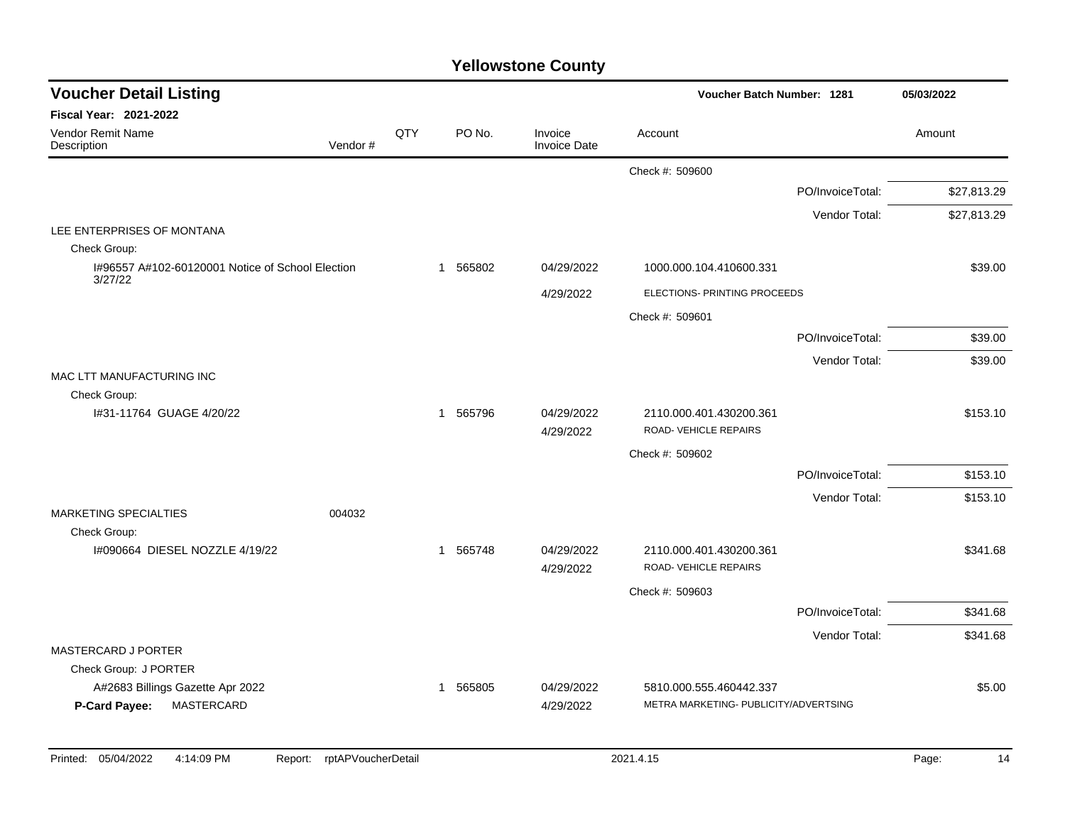| <b>Voucher Detail Listing</b>                                    |         |     |                          |                         | Voucher Batch Number: 1281                                       |                  | 05/03/2022  |
|------------------------------------------------------------------|---------|-----|--------------------------|-------------------------|------------------------------------------------------------------|------------------|-------------|
| Fiscal Year: 2021-2022                                           |         |     |                          |                         |                                                                  |                  |             |
| Vendor Remit Name<br>Description                                 | Vendor# | QTY | PO No.                   | Invoice<br>Invoice Date | Account                                                          |                  | Amount      |
|                                                                  |         |     |                          |                         | Check #: 509600                                                  |                  |             |
|                                                                  |         |     |                          |                         |                                                                  | PO/InvoiceTotal: | \$27,813.29 |
|                                                                  |         |     |                          |                         |                                                                  | Vendor Total:    | \$27,813.29 |
| LEE ENTERPRISES OF MONTANA                                       |         |     |                          |                         |                                                                  |                  |             |
| Check Group:<br>I#96557 A#102-60120001 Notice of School Election |         |     | 1 565802                 | 04/29/2022              | 1000.000.104.410600.331                                          |                  | \$39.00     |
| 3/27/22                                                          |         |     |                          | 4/29/2022               | ELECTIONS- PRINTING PROCEEDS                                     |                  |             |
|                                                                  |         |     |                          |                         |                                                                  |                  |             |
|                                                                  |         |     |                          |                         | Check #: 509601                                                  | PO/InvoiceTotal: | \$39.00     |
|                                                                  |         |     |                          |                         |                                                                  |                  |             |
| MAC LTT MANUFACTURING INC                                        |         |     |                          |                         |                                                                  | Vendor Total:    | \$39.00     |
| Check Group:                                                     |         |     |                          |                         |                                                                  |                  |             |
| I#31-11764 GUAGE 4/20/22                                         |         |     | 1 565796                 | 04/29/2022<br>4/29/2022 | 2110.000.401.430200.361<br>ROAD-VEHICLE REPAIRS                  |                  | \$153.10    |
|                                                                  |         |     |                          |                         | Check #: 509602                                                  |                  |             |
|                                                                  |         |     |                          |                         |                                                                  | PO/InvoiceTotal: | \$153.10    |
|                                                                  |         |     |                          |                         |                                                                  | Vendor Total:    | \$153.10    |
| <b>MARKETING SPECIALTIES</b>                                     | 004032  |     |                          |                         |                                                                  |                  |             |
| Check Group:<br>1#090664 DIESEL NOZZLE 4/19/22                   |         |     | 1 565748                 | 04/29/2022              | 2110.000.401.430200.361                                          |                  | \$341.68    |
|                                                                  |         |     |                          | 4/29/2022               | ROAD-VEHICLE REPAIRS                                             |                  |             |
|                                                                  |         |     |                          |                         | Check #: 509603                                                  |                  |             |
|                                                                  |         |     |                          |                         |                                                                  | PO/InvoiceTotal: | \$341.68    |
|                                                                  |         |     |                          |                         |                                                                  | Vendor Total:    | \$341.68    |
| MASTERCARD J PORTER                                              |         |     |                          |                         |                                                                  |                  |             |
| Check Group: J PORTER                                            |         |     |                          |                         |                                                                  |                  |             |
| A#2683 Billings Gazette Apr 2022<br>P-Card Payee:<br>MASTERCARD  |         |     | 565805<br>$\overline{1}$ | 04/29/2022<br>4/29/2022 | 5810.000.555.460442.337<br>METRA MARKETING- PUBLICITY/ADVERTSING |                  | \$5.00      |
|                                                                  |         |     |                          |                         |                                                                  |                  |             |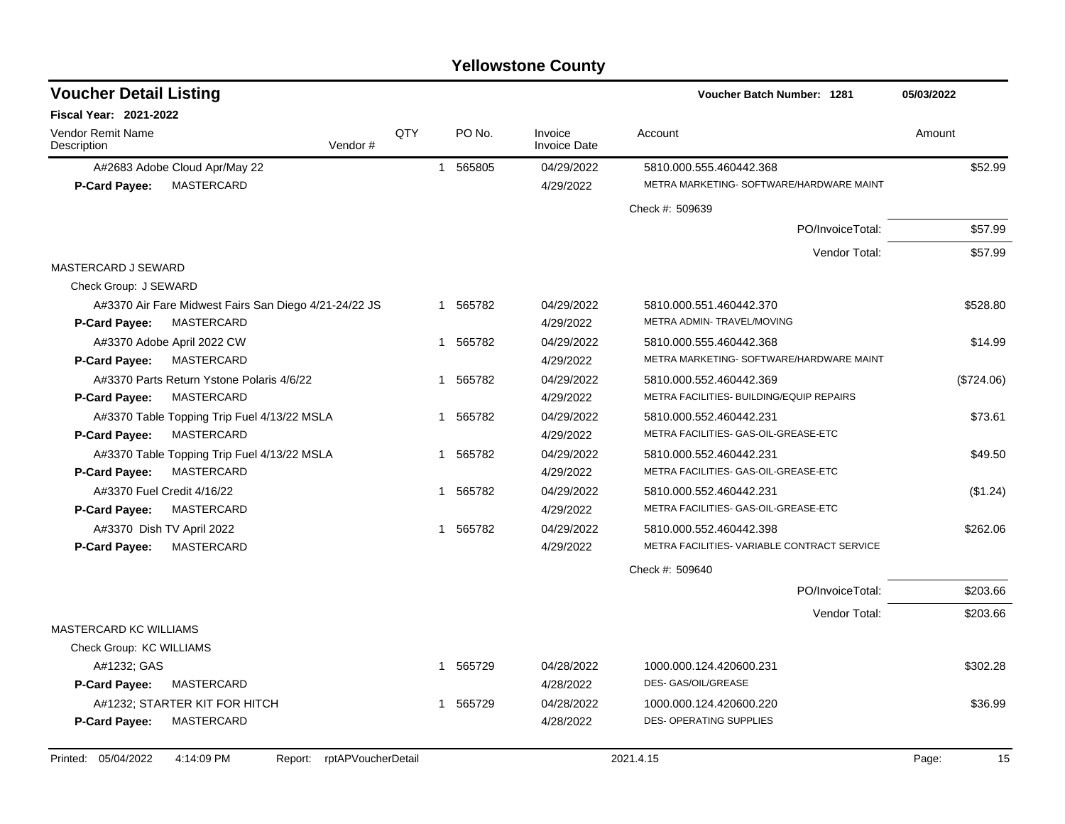| <b>Voucher Detail Listing</b>                                                            |              |          |                                | Voucher Batch Number: 1281                                      | 05/03/2022  |
|------------------------------------------------------------------------------------------|--------------|----------|--------------------------------|-----------------------------------------------------------------|-------------|
| <b>Fiscal Year: 2021-2022</b>                                                            |              |          |                                |                                                                 |             |
| <b>Vendor Remit Name</b><br>Vendor#<br>Description                                       | QTY          | PO No.   | Invoice<br><b>Invoice Date</b> | Account                                                         | Amount      |
| A#2683 Adobe Cloud Apr/May 22                                                            |              | 1 565805 | 04/29/2022                     | 5810.000.555.460442.368                                         | \$52.99     |
| MASTERCARD<br><b>P-Card Payee:</b>                                                       |              |          | 4/29/2022                      | METRA MARKETING- SOFTWARE/HARDWARE MAINT                        |             |
|                                                                                          |              |          |                                | Check #: 509639                                                 |             |
|                                                                                          |              |          |                                | PO/InvoiceTotal:                                                | \$57.99     |
|                                                                                          |              |          |                                | Vendor Total:                                                   | \$57.99     |
| MASTERCARD J SEWARD                                                                      |              |          |                                |                                                                 |             |
| Check Group: J SEWARD                                                                    |              |          |                                |                                                                 |             |
| A#3370 Air Fare Midwest Fairs San Diego 4/21-24/22 JS                                    |              | 1 565782 | 04/29/2022                     | 5810.000.551.460442.370                                         | \$528.80    |
| MASTERCARD<br><b>P-Card Payee:</b>                                                       |              |          | 4/29/2022                      | METRA ADMIN-TRAVEL/MOVING                                       |             |
| A#3370 Adobe April 2022 CW                                                               |              | 1 565782 | 04/29/2022                     | 5810.000.555.460442.368                                         | \$14.99     |
| <b>MASTERCARD</b><br><b>P-Card Payee:</b>                                                |              |          | 4/29/2022                      | METRA MARKETING- SOFTWARE/HARDWARE MAINT                        |             |
| A#3370 Parts Return Ystone Polaris 4/6/22                                                | 1            | 565782   | 04/29/2022                     | 5810.000.552.460442.369                                         | (\$724.06)  |
| <b>MASTERCARD</b><br><b>P-Card Payee:</b>                                                |              |          | 4/29/2022                      | METRA FACILITIES- BUILDING/EQUIP REPAIRS                        |             |
| A#3370 Table Topping Trip Fuel 4/13/22 MSLA                                              | 1            | 565782   | 04/29/2022                     | 5810.000.552.460442.231                                         | \$73.61     |
| P-Card Payee:<br><b>MASTERCARD</b>                                                       |              |          | 4/29/2022                      | METRA FACILITIES- GAS-OIL-GREASE-ETC                            |             |
| A#3370 Table Topping Trip Fuel 4/13/22 MSLA<br><b>MASTERCARD</b><br><b>P-Card Payee:</b> | $\mathbf{1}$ | 565782   | 04/29/2022<br>4/29/2022        | 5810.000.552.460442.231<br>METRA FACILITIES- GAS-OIL-GREASE-ETC | \$49.50     |
| A#3370 Fuel Credit 4/16/22                                                               | 1            | 565782   | 04/29/2022                     | 5810.000.552.460442.231                                         |             |
| MASTERCARD<br>P-Card Payee:                                                              |              |          | 4/29/2022                      | METRA FACILITIES- GAS-OIL-GREASE-ETC                            | (\$1.24)    |
| A#3370 Dish TV April 2022                                                                | 1            | 565782   | 04/29/2022                     | 5810.000.552.460442.398                                         | \$262.06    |
| MASTERCARD<br>P-Card Payee:                                                              |              |          | 4/29/2022                      | METRA FACILITIES- VARIABLE CONTRACT SERVICE                     |             |
|                                                                                          |              |          |                                | Check #: 509640                                                 |             |
|                                                                                          |              |          |                                | PO/InvoiceTotal:                                                | \$203.66    |
|                                                                                          |              |          |                                | Vendor Total:                                                   | \$203.66    |
| <b>MASTERCARD KC WILLIAMS</b>                                                            |              |          |                                |                                                                 |             |
| Check Group: KC WILLIAMS                                                                 |              |          |                                |                                                                 |             |
| A#1232; GAS                                                                              |              | 565729   | 04/28/2022                     | 1000.000.124.420600.231                                         | \$302.28    |
| MASTERCARD<br><b>P-Card Payee:</b>                                                       |              |          | 4/28/2022                      | DES- GAS/OIL/GREASE                                             |             |
| A#1232; STARTER KIT FOR HITCH                                                            | 1            | 565729   | 04/28/2022                     | 1000.000.124.420600.220                                         | \$36.99     |
| MASTERCARD<br><b>P-Card Payee:</b>                                                       |              |          | 4/28/2022                      | DES- OPERATING SUPPLIES                                         |             |
| Printed: 05/04/2022<br>4:14:09 PM<br>rptAPVoucherDetail<br>Report:                       |              |          |                                | 2021.4.15                                                       | 15<br>Page: |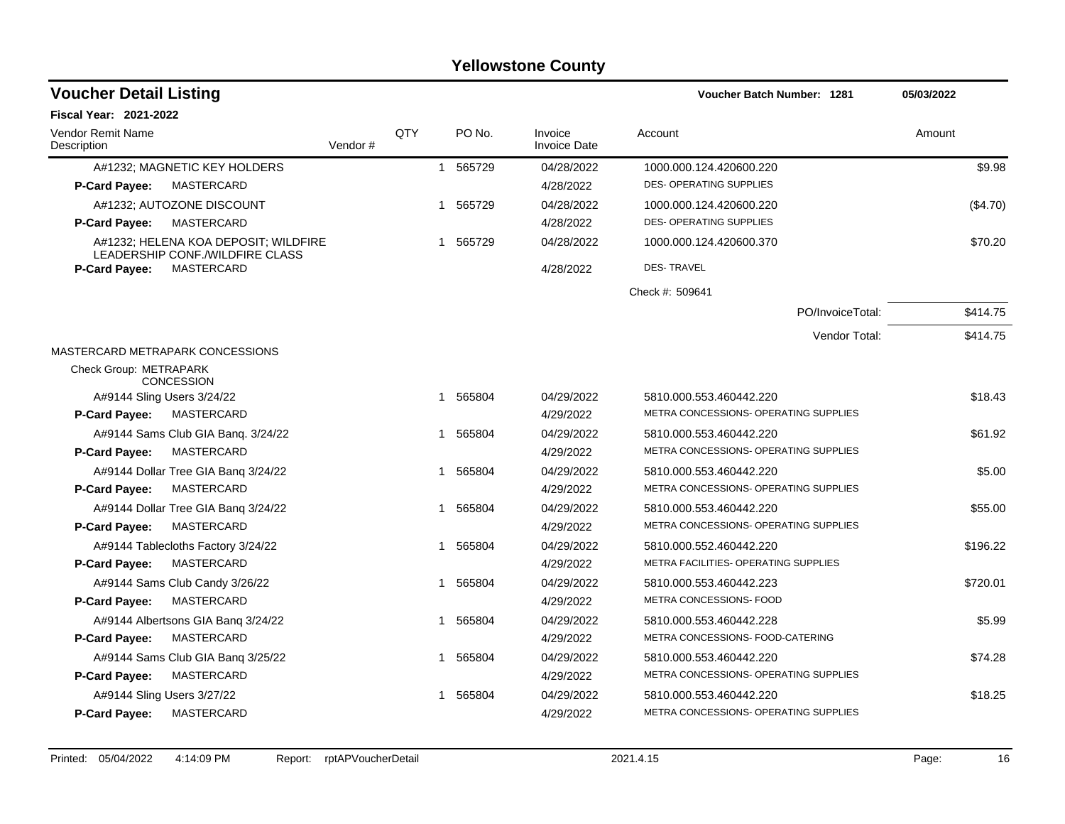| <b>Voucher Detail Listing</b>                                           |         |     |              |        |                                | Voucher Batch Number: 1281            | 05/03/2022 |
|-------------------------------------------------------------------------|---------|-----|--------------|--------|--------------------------------|---------------------------------------|------------|
| <b>Fiscal Year: 2021-2022</b>                                           |         |     |              |        |                                |                                       |            |
| <b>Vendor Remit Name</b><br>Description                                 | Vendor# | QTY |              | PO No. | Invoice<br><b>Invoice Date</b> | Account                               | Amount     |
| A#1232; MAGNETIC KEY HOLDERS                                            |         |     | $\mathbf{1}$ | 565729 | 04/28/2022                     | 1000.000.124.420600.220               | \$9.98     |
| MASTERCARD<br><b>P-Card Payee:</b>                                      |         |     |              |        | 4/28/2022                      | <b>DES- OPERATING SUPPLIES</b>        |            |
| A#1232; AUTOZONE DISCOUNT                                               |         |     | 1            | 565729 | 04/28/2022                     | 1000.000.124.420600.220               | (\$4.70)   |
| <b>MASTERCARD</b><br>P-Card Payee:                                      |         |     |              |        | 4/28/2022                      | <b>DES- OPERATING SUPPLIES</b>        |            |
| A#1232; HELENA KOA DEPOSIT; WILDFIRE<br>LEADERSHIP CONF./WILDFIRE CLASS |         |     | 1            | 565729 | 04/28/2022                     | 1000.000.124.420600.370               | \$70.20    |
| MASTERCARD<br><b>P-Card Payee:</b>                                      |         |     |              |        | 4/28/2022                      | <b>DES-TRAVEL</b>                     |            |
|                                                                         |         |     |              |        |                                | Check #: 509641                       |            |
|                                                                         |         |     |              |        |                                | PO/InvoiceTotal:                      | \$414.75   |
|                                                                         |         |     |              |        |                                | Vendor Total:                         | \$414.75   |
| MASTERCARD METRAPARK CONCESSIONS                                        |         |     |              |        |                                |                                       |            |
| Check Group: METRAPARK<br><b>CONCESSION</b>                             |         |     |              |        |                                |                                       |            |
| A#9144 Sling Users 3/24/22                                              |         |     | 1            | 565804 | 04/29/2022                     | 5810.000.553.460442.220               | \$18.43    |
| P-Card Payee:<br>MASTERCARD                                             |         |     |              |        | 4/29/2022                      | METRA CONCESSIONS- OPERATING SUPPLIES |            |
| A#9144 Sams Club GIA Bang. 3/24/22                                      |         |     | 1            | 565804 | 04/29/2022                     | 5810.000.553.460442.220               | \$61.92    |
| P-Card Payee:<br>MASTERCARD                                             |         |     |              |        | 4/29/2022                      | METRA CONCESSIONS- OPERATING SUPPLIES |            |
| A#9144 Dollar Tree GIA Bang 3/24/22                                     |         |     | 1            | 565804 | 04/29/2022                     | 5810.000.553.460442.220               | \$5.00     |
| P-Card Payee:<br><b>MASTERCARD</b>                                      |         |     |              |        | 4/29/2022                      | METRA CONCESSIONS- OPERATING SUPPLIES |            |
| A#9144 Dollar Tree GIA Banq 3/24/22                                     |         |     | 1            | 565804 | 04/29/2022                     | 5810.000.553.460442.220               | \$55.00    |
| P-Card Payee:<br>MASTERCARD                                             |         |     |              |        | 4/29/2022                      | METRA CONCESSIONS- OPERATING SUPPLIES |            |
| A#9144 Tablecloths Factory 3/24/22                                      |         |     | 1            | 565804 | 04/29/2022                     | 5810.000.552.460442.220               | \$196.22   |
| P-Card Payee:<br>MASTERCARD                                             |         |     |              |        | 4/29/2022                      | METRA FACILITIES- OPERATING SUPPLIES  |            |
| A#9144 Sams Club Candy 3/26/22                                          |         |     | 1            | 565804 | 04/29/2022                     | 5810.000.553.460442.223               | \$720.01   |
| <b>P-Card Payee:</b><br>MASTERCARD                                      |         |     |              |        | 4/29/2022                      | METRA CONCESSIONS- FOOD               |            |
| A#9144 Albertsons GIA Bang 3/24/22                                      |         |     | 1            | 565804 | 04/29/2022                     | 5810.000.553.460442.228               | \$5.99     |
| MASTERCARD<br><b>P-Card Payee:</b>                                      |         |     |              |        | 4/29/2022                      | METRA CONCESSIONS- FOOD-CATERING      |            |
| A#9144 Sams Club GIA Banq 3/25/22                                       |         |     | 1            | 565804 | 04/29/2022                     | 5810.000.553.460442.220               | \$74.28    |
| P-Card Payee:<br>MASTERCARD                                             |         |     |              |        | 4/29/2022                      | METRA CONCESSIONS- OPERATING SUPPLIES |            |
| A#9144 Sling Users 3/27/22                                              |         |     | 1            | 565804 | 04/29/2022                     | 5810.000.553.460442.220               | \$18.25    |
| MASTERCARD<br><b>P-Card Payee:</b>                                      |         |     |              |        | 4/29/2022                      | METRA CONCESSIONS- OPERATING SUPPLIES |            |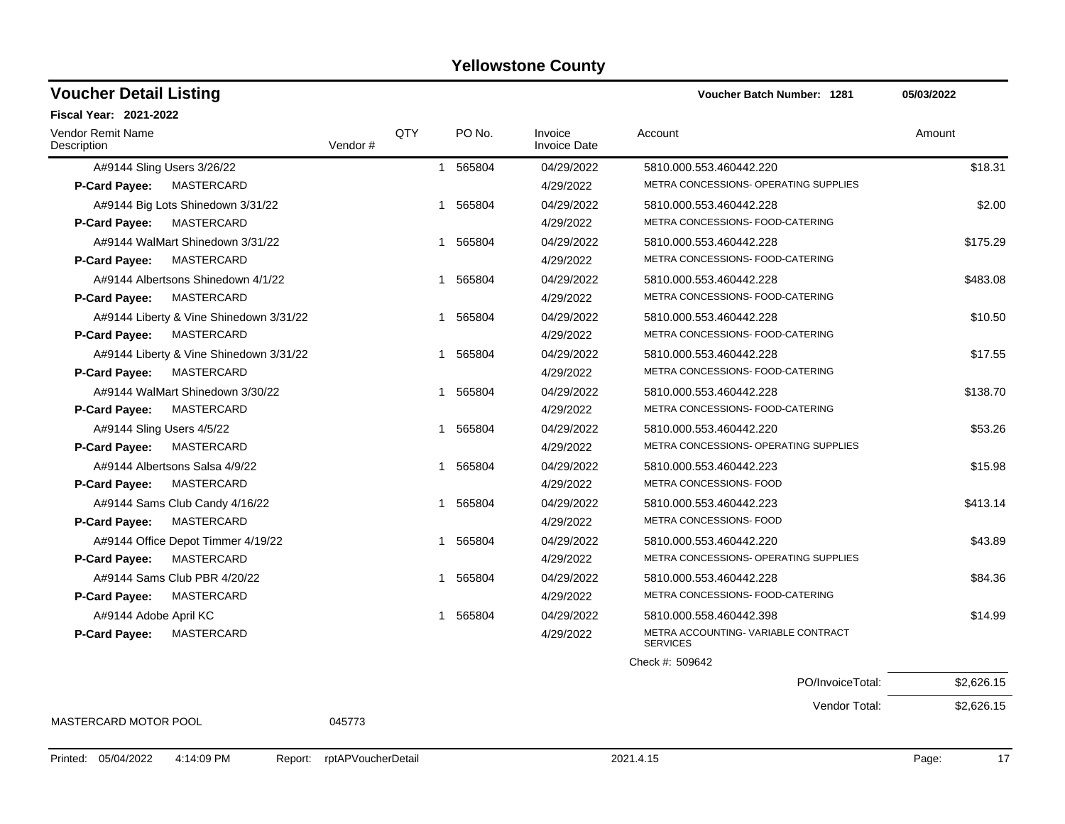### A#9144 Sling Users 3/26/22 **1 565804** 1 565804 04/29/2022 5810.000.553.460442.220 **\$18.31** 565804 **P-Card Payee:** MASTERCARD 4/29/2022 METRA CONCESSIONS- OPERATING SUPPLIES A#9144 Big Lots Shinedown 3/31/22 1 565804 04/29/2022 5810.000.553.460442.228 5810.000 Afterware \$2.00 **P-Card Payee:** MASTERCARD 4/29/2022 METRA CONCESSIONS- FOOD-CATERING A#9144 WalMart Shinedown 3/31/22 1 565804 1 565804 04/29/2022 5810.000.553.460442.228 5810.000 Ass \$175.29 **P-Card Payee:** MASTERCARD 4/29/2022 METRA CONCESSIONS- FOOD-CATERING A#9144 Albertsons Shinedown 4/1/22 1 565804 1 565804 04/29/2022 5810.000.553.460442.228 **P-Card Payee:** MASTERCARD 4/29/2022 METRA CONCESSIONS- FOOD-CATERING A#9144 Liberty & Vine Shinedown 3/31/22 1 565804 04/29/2022 5810.000.553.460442.228 5810.000 A **P-Card Payee:** MASTERCARD 4/29/2022 METRA CONCESSIONS- FOOD-CATERING A#9144 Liberty & Vine Shinedown 3/31/22 1 565804 1 565804 04/29/2022 5810.000.553.460442.228 **P-Card Payee:** MASTERCARD 4/29/2022 METRA CONCESSIONS- FOOD-CATERING A#9144 WalMart Shinedown 3/30/22 1 565804 1 565804 04/29/2022 5810.000.553.460442.228 5810.000 At \$138.70 **P-Card Payee:** MASTERCARD 4/29/2022 METRA CONCESSIONS- FOOD-CATERING A#9144 Sling Users 4/5/22 **1 565804** 1 565804 04/29/2022 5810.000.553.460442.220 469144 Sling Users 4/5/22 **P-Card Payee:** MASTERCARD 4/29/2022 METRA CONCESSIONS- OPERATING SUPPLIES A#9144 Albertsons Salsa 4/9/22 1 565804 1 565804 04/29/2022 5810.000.553.460442.223 **P-Card Payee:** MASTERCARD 4/29/2022 METRA CONCESSIONS- FOOD A#9144 Sams Club Candy 4/16/22 1 565804 1 565804 04/29/2022 5810.000.553.460442.223 **P-Card Payee:** MASTERCARD 4/29/2022 METRA CONCESSIONS- FOOD A#9144 Office Depot Timmer 4/19/22 1 565804 1 565804 04/29/2022 5810.000.553.460442.220 **P-Card Payee:** MASTERCARD 4/29/2022 METRA CONCESSIONS- OPERATING SUPPLIES A#9144 Sams Club PBR 4/20/22  $$84.36$ <br>1 565804 04/29/2022 5810.000.553.460442.228 **P-Card Payee:** MASTERCARD 4/29/2022 METRA CONCESSIONS- FOOD-CATERING A#9144 Adobe April KC \$14.99 \$14.99 \$14.99 \$14.99 \$14.99 \$14.99 \$14.99 \$14.99 \$14.99 METRA ACCOUNTING- VARIABLE CONTRACT **SERVICES P-Card Payee:** MASTERCARD 4/29/2022 Check #: 509642 PO/InvoiceTotal: \$2,626.15 **Voucher Batch Number:** Vendor Remit Name **Description Voucher Detail Listing Fiscal Year: 2021-2022 1281 05/03/2022** PO No. Invoice Account Amount Amount Amount Amount Vendor # QTY Invoice Date

MASTERCARD MOTOR POOL 045773

Vendor Total: \$2,626.15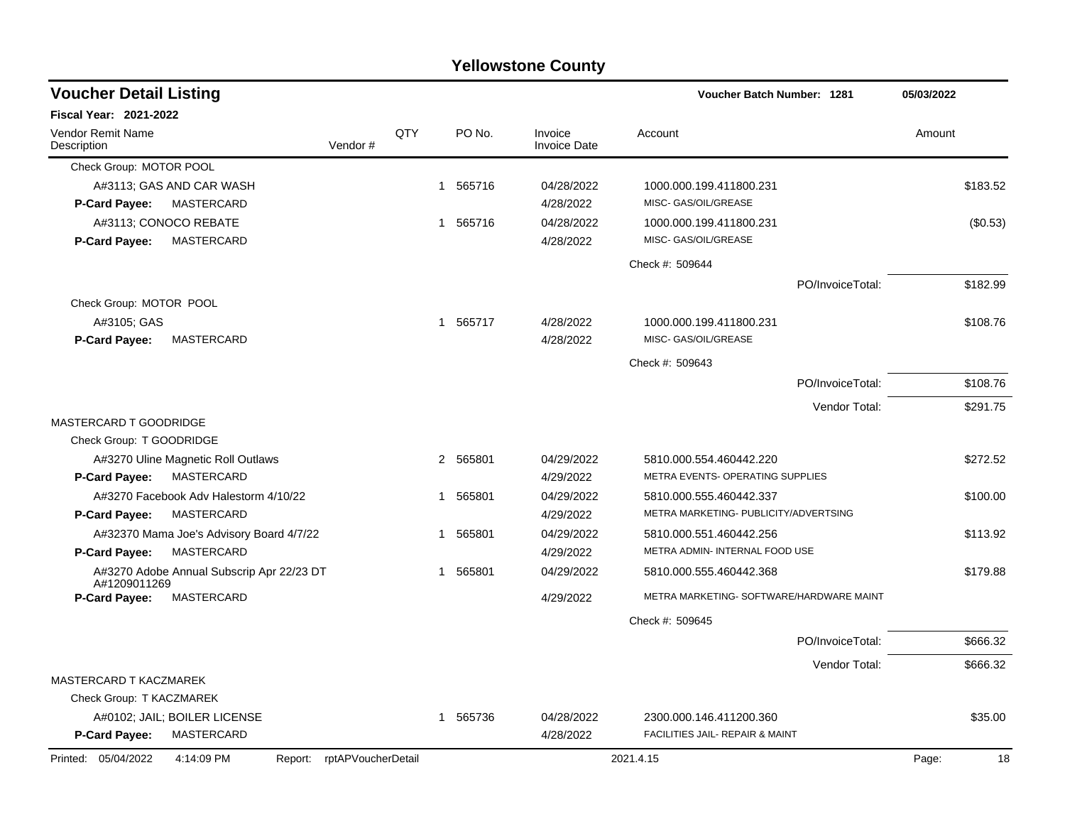|                                                                 |     |              |          | <b>Yellowstone County</b> |                                            |             |
|-----------------------------------------------------------------|-----|--------------|----------|---------------------------|--------------------------------------------|-------------|
| <b>Voucher Detail Listing</b>                                   |     |              |          |                           | <b>Voucher Batch Number: 1281</b>          | 05/03/2022  |
| <b>Fiscal Year: 2021-2022</b>                                   |     |              |          |                           |                                            |             |
| <b>Vendor Remit Name</b><br>Vendor#<br>Description              | QTY |              | PO No.   | Invoice<br>Invoice Date   | Account                                    | Amount      |
| Check Group: MOTOR POOL                                         |     |              |          |                           |                                            |             |
| A#3113; GAS AND CAR WASH                                        |     | -1           | 565716   | 04/28/2022                | 1000.000.199.411800.231                    | \$183.52    |
| MASTERCARD<br><b>P-Card Payee:</b>                              |     |              |          | 4/28/2022                 | MISC- GAS/OIL/GREASE                       |             |
| A#3113; CONOCO REBATE                                           |     | $\mathbf{1}$ | 565716   | 04/28/2022                | 1000.000.199.411800.231                    | (\$0.53)    |
| MASTERCARD<br>P-Card Payee:                                     |     |              |          | 4/28/2022                 | MISC- GAS/OIL/GREASE                       |             |
|                                                                 |     |              |          |                           | Check #: 509644                            |             |
|                                                                 |     |              |          |                           | PO/InvoiceTotal:                           | \$182.99    |
| Check Group: MOTOR POOL                                         |     |              |          |                           |                                            |             |
| A#3105; GAS                                                     |     | $\mathbf{1}$ | 565717   | 4/28/2022                 | 1000.000.199.411800.231                    | \$108.76    |
| P-Card Payee:<br>MASTERCARD                                     |     |              |          | 4/28/2022                 | MISC- GAS/OIL/GREASE                       |             |
|                                                                 |     |              |          |                           | Check #: 509643                            |             |
|                                                                 |     |              |          |                           | PO/InvoiceTotal:                           | \$108.76    |
|                                                                 |     |              |          |                           | Vendor Total:                              | \$291.75    |
| MASTERCARD T GOODRIDGE                                          |     |              |          |                           |                                            |             |
| Check Group: T GOODRIDGE                                        |     |              |          |                           |                                            |             |
| A#3270 Uline Magnetic Roll Outlaws                              |     | 2            | 565801   | 04/29/2022                | 5810.000.554.460442.220                    | \$272.52    |
| MASTERCARD<br><b>P-Card Payee:</b>                              |     |              |          | 4/29/2022                 | METRA EVENTS- OPERATING SUPPLIES           |             |
| A#3270 Facebook Adv Halestorm 4/10/22                           |     | 1            | 565801   | 04/29/2022                | 5810.000.555.460442.337                    | \$100.00    |
| MASTERCARD<br>P-Card Payee:                                     |     |              |          | 4/29/2022                 | METRA MARKETING- PUBLICITY/ADVERTSING      |             |
| A#32370 Mama Joe's Advisory Board 4/7/22                        |     |              | 565801   | 04/29/2022                | 5810.000.551.460442.256                    | \$113.92    |
| MASTERCARD<br><b>P-Card Payee:</b>                              |     |              |          | 4/29/2022                 | METRA ADMIN- INTERNAL FOOD USE             |             |
| A#3270 Adobe Annual Subscrip Apr 22/23 DT<br>A#1209011269       |     | 1            | 565801   | 04/29/2022                | 5810.000.555.460442.368                    | \$179.88    |
| P-Card Payee:<br>MASTERCARD                                     |     |              |          | 4/29/2022                 | METRA MARKETING- SOFTWARE/HARDWARE MAINT   |             |
|                                                                 |     |              |          |                           | Check #: 509645                            |             |
|                                                                 |     |              |          |                           | PO/InvoiceTotal:                           | \$666.32    |
|                                                                 |     |              |          |                           | Vendor Total:                              | \$666.32    |
| MASTERCARD T KACZMAREK                                          |     |              |          |                           |                                            |             |
| Check Group: T KACZMAREK                                        |     |              |          |                           |                                            |             |
| A#0102; JAIL; BOILER LICENSE                                    |     |              | 1 565736 | 04/28/2022                | 2300.000.146.411200.360                    | \$35.00     |
| P-Card Payee:<br>MASTERCARD                                     |     |              |          | 4/28/2022                 | <b>FACILITIES JAIL- REPAIR &amp; MAINT</b> |             |
| Printed: 05/04/2022<br>4:14:09 PM<br>Report: rptAPVoucherDetail |     |              |          |                           | 2021.4.15                                  | Page:<br>18 |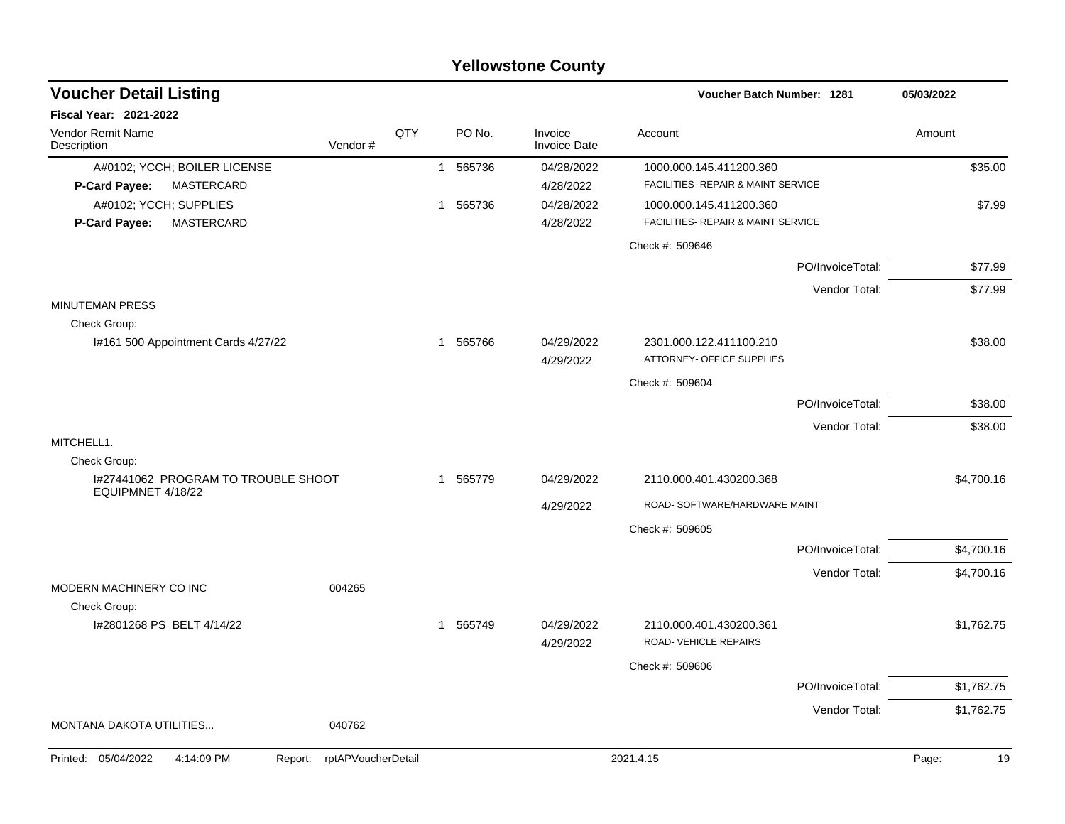|                                           |                            |     |                          | <b>Yellowstone County</b>      |                                                      |                  |             |
|-------------------------------------------|----------------------------|-----|--------------------------|--------------------------------|------------------------------------------------------|------------------|-------------|
| <b>Voucher Detail Listing</b>             |                            |     |                          |                                | Voucher Batch Number: 1281                           |                  | 05/03/2022  |
| <b>Fiscal Year: 2021-2022</b>             |                            |     |                          |                                |                                                      |                  |             |
| Vendor Remit Name<br>Description          | Vendor#                    | QTY | PO No.                   | Invoice<br><b>Invoice Date</b> | Account                                              |                  | Amount      |
| A#0102; YCCH; BOILER LICENSE              |                            |     | 565736<br>$\overline{1}$ | 04/28/2022                     | 1000.000.145.411200.360                              |                  | \$35.00     |
| MASTERCARD<br>P-Card Payee:               |                            |     |                          | 4/28/2022                      | FACILITIES- REPAIR & MAINT SERVICE                   |                  |             |
| A#0102; YCCH; SUPPLIES                    |                            |     | 565736<br>1              | 04/28/2022                     | 1000.000.145.411200.360                              |                  | \$7.99      |
| <b>MASTERCARD</b><br>P-Card Payee:        |                            |     |                          | 4/28/2022                      | FACILITIES- REPAIR & MAINT SERVICE                   |                  |             |
|                                           |                            |     |                          |                                | Check #: 509646                                      |                  |             |
|                                           |                            |     |                          |                                |                                                      | PO/InvoiceTotal: | \$77.99     |
|                                           |                            |     |                          |                                |                                                      | Vendor Total:    | \$77.99     |
| <b>MINUTEMAN PRESS</b>                    |                            |     |                          |                                |                                                      |                  |             |
| Check Group:                              |                            |     |                          |                                |                                                      |                  |             |
| I#161 500 Appointment Cards 4/27/22       |                            |     | 565766<br>-1             | 04/29/2022                     | 2301.000.122.411100.210<br>ATTORNEY- OFFICE SUPPLIES |                  | \$38.00     |
|                                           |                            |     |                          | 4/29/2022                      |                                                      |                  |             |
|                                           |                            |     |                          |                                | Check #: 509604                                      |                  |             |
|                                           |                            |     |                          |                                |                                                      | PO/InvoiceTotal: | \$38.00     |
|                                           |                            |     |                          |                                |                                                      | Vendor Total:    | \$38.00     |
| MITCHELL1.<br>Check Group:                |                            |     |                          |                                |                                                      |                  |             |
| I#27441062 PROGRAM TO TROUBLE SHOOT       |                            |     | 565779<br>-1             | 04/29/2022                     | 2110.000.401.430200.368                              |                  | \$4,700.16  |
| EQUIPMNET 4/18/22                         |                            |     |                          |                                |                                                      |                  |             |
|                                           |                            |     |                          | 4/29/2022                      | ROAD- SOFTWARE/HARDWARE MAINT                        |                  |             |
|                                           |                            |     |                          |                                | Check #: 509605                                      |                  |             |
|                                           |                            |     |                          |                                |                                                      | PO/InvoiceTotal: | \$4,700.16  |
|                                           |                            |     |                          |                                |                                                      | Vendor Total:    | \$4,700.16  |
| MODERN MACHINERY CO INC                   | 004265                     |     |                          |                                |                                                      |                  |             |
| Check Group:<br>I#2801268 PS BELT 4/14/22 |                            |     | 565749<br>1              | 04/29/2022                     | 2110.000.401.430200.361                              |                  | \$1,762.75  |
|                                           |                            |     |                          | 4/29/2022                      | ROAD-VEHICLE REPAIRS                                 |                  |             |
|                                           |                            |     |                          |                                |                                                      |                  |             |
|                                           |                            |     |                          |                                | Check #: 509606                                      | PO/InvoiceTotal: |             |
|                                           |                            |     |                          |                                |                                                      |                  | \$1,762.75  |
| MONTANA DAKOTA UTILITIES                  | 040762                     |     |                          |                                |                                                      | Vendor Total:    | \$1,762.75  |
|                                           |                            |     |                          |                                |                                                      |                  |             |
| Printed: 05/04/2022<br>4:14:09 PM         | Report: rptAPVoucherDetail |     |                          |                                | 2021.4.15                                            |                  | Page:<br>19 |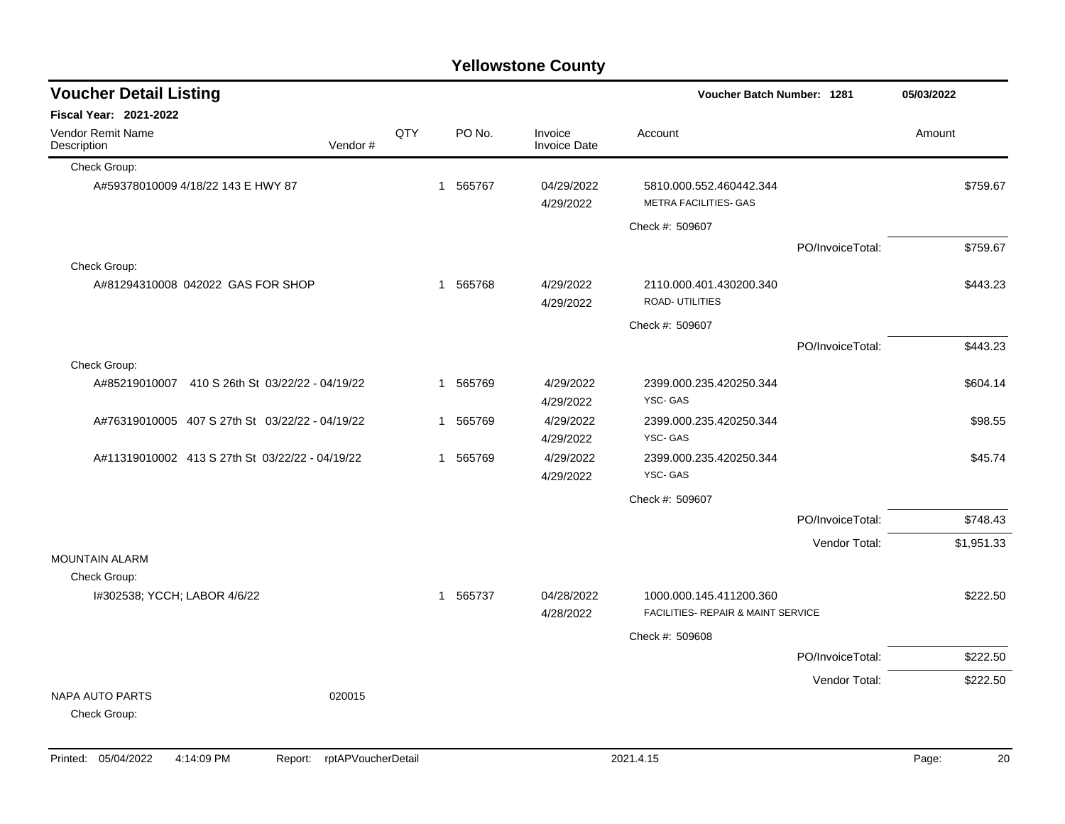| <b>Voucher Detail Listing</b>                   |         |     |   |          |                                | <b>Voucher Batch Number: 1281</b>                             |                  | 05/03/2022 |         |
|-------------------------------------------------|---------|-----|---|----------|--------------------------------|---------------------------------------------------------------|------------------|------------|---------|
| <b>Fiscal Year: 2021-2022</b>                   |         |     |   |          |                                |                                                               |                  |            |         |
| Vendor Remit Name<br>Description                | Vendor# | QTY |   | PO No.   | Invoice<br><b>Invoice Date</b> | Account                                                       |                  | Amount     |         |
| Check Group:                                    |         |     |   |          |                                |                                                               |                  |            |         |
| A#59378010009 4/18/22 143 E HWY 87              |         |     | 1 | 565767   | 04/29/2022<br>4/29/2022        | 5810.000.552.460442.344<br><b>METRA FACILITIES- GAS</b>       |                  | \$759.67   |         |
|                                                 |         |     |   |          |                                | Check #: 509607                                               |                  |            |         |
|                                                 |         |     |   |          |                                |                                                               | PO/InvoiceTotal: | \$759.67   |         |
| Check Group:                                    |         |     |   |          |                                |                                                               |                  |            |         |
| A#81294310008 042022 GAS FOR SHOP               |         |     | 1 | 565768   | 4/29/2022<br>4/29/2022         | 2110.000.401.430200.340<br>ROAD- UTILITIES                    |                  | \$443.23   |         |
|                                                 |         |     |   |          |                                | Check #: 509607                                               |                  |            |         |
|                                                 |         |     |   |          |                                |                                                               | PO/InvoiceTotal: | \$443.23   |         |
| Check Group:                                    |         |     |   |          |                                |                                                               |                  |            |         |
| A#85219010007 410 S 26th St 03/22/22 - 04/19/22 |         |     |   | 1 565769 | 4/29/2022<br>4/29/2022         | 2399.000.235.420250.344<br>YSC-GAS                            |                  | \$604.14   |         |
| A#76319010005 407 S 27th St 03/22/22 - 04/19/22 |         |     | 1 | 565769   | 4/29/2022<br>4/29/2022         | 2399.000.235.420250.344<br>YSC-GAS                            |                  |            | \$98.55 |
| A#11319010002 413 S 27th St 03/22/22 - 04/19/22 |         |     | 1 | 565769   | 4/29/2022<br>4/29/2022         | 2399.000.235.420250.344<br>YSC-GAS                            |                  |            | \$45.74 |
|                                                 |         |     |   |          |                                | Check #: 509607                                               |                  |            |         |
|                                                 |         |     |   |          |                                |                                                               | PO/InvoiceTotal: | \$748.43   |         |
|                                                 |         |     |   |          |                                |                                                               | Vendor Total:    | \$1,951.33 |         |
| <b>MOUNTAIN ALARM</b>                           |         |     |   |          |                                |                                                               |                  |            |         |
| Check Group:                                    |         |     |   |          |                                |                                                               |                  |            |         |
| I#302538; YCCH; LABOR 4/6/22                    |         |     |   | 1 565737 | 04/28/2022<br>4/28/2022        | 1000.000.145.411200.360<br>FACILITIES- REPAIR & MAINT SERVICE |                  | \$222.50   |         |
|                                                 |         |     |   |          |                                | Check #: 509608                                               |                  |            |         |
|                                                 |         |     |   |          |                                |                                                               | PO/InvoiceTotal: | \$222.50   |         |
|                                                 |         |     |   |          |                                |                                                               | Vendor Total:    | \$222.50   |         |
| <b>NAPA AUTO PARTS</b><br>Check Group:          | 020015  |     |   |          |                                |                                                               |                  |            |         |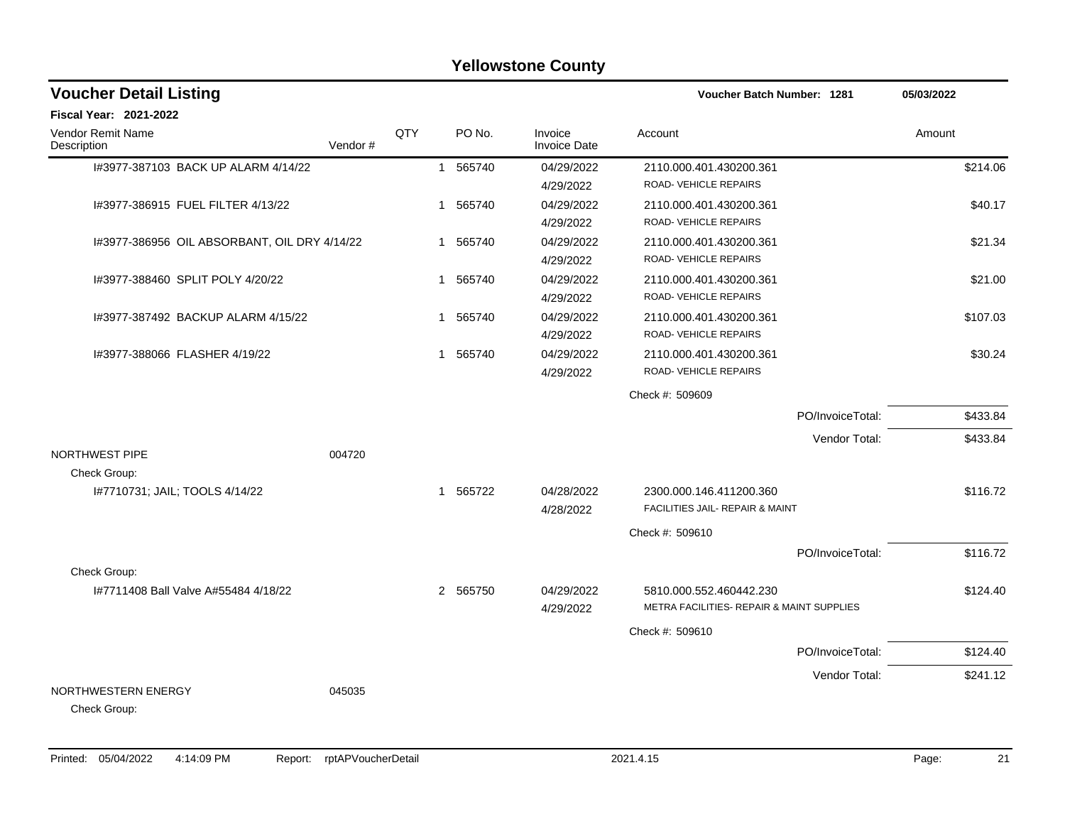|                                                      |         |     |              |                  | <b>Yellowstone County</b> |                                                                      |                  |            |
|------------------------------------------------------|---------|-----|--------------|------------------|---------------------------|----------------------------------------------------------------------|------------------|------------|
| <b>Voucher Detail Listing</b>                        |         |     |              |                  |                           | <b>Voucher Batch Number: 1281</b>                                    |                  | 05/03/2022 |
| <b>Fiscal Year: 2021-2022</b>                        |         |     |              |                  |                           |                                                                      |                  |            |
| Vendor Remit Name<br>Description                     | Vendor# | QTY |              | PO <sub>No</sub> | Invoice<br>Invoice Date   | Account                                                              |                  | Amount     |
| 1#3977-387103 BACK UP ALARM 4/14/22                  |         |     | $\mathbf{1}$ | 565740           | 04/29/2022<br>4/29/2022   | 2110.000.401.430200.361<br>ROAD- VEHICLE REPAIRS                     |                  | \$214.06   |
| I#3977-386915 FUEL FILTER 4/13/22                    |         |     | $\mathbf{1}$ | 565740           | 04/29/2022<br>4/29/2022   | 2110.000.401.430200.361<br>ROAD-VEHICLE REPAIRS                      |                  | \$40.17    |
| I#3977-386956 OIL ABSORBANT, OIL DRY 4/14/22         |         |     | $\mathbf 1$  | 565740           | 04/29/2022<br>4/29/2022   | 2110.000.401.430200.361<br>ROAD-VEHICLE REPAIRS                      |                  | \$21.34    |
| I#3977-388460 SPLIT POLY 4/20/22                     |         |     | $\mathbf{1}$ | 565740           | 04/29/2022<br>4/29/2022   | 2110.000.401.430200.361<br><b>ROAD- VEHICLE REPAIRS</b>              |                  | \$21.00    |
| 1#3977-387492 BACKUP ALARM 4/15/22                   |         |     | $\mathbf 1$  | 565740           | 04/29/2022<br>4/29/2022   | 2110.000.401.430200.361<br>ROAD-VEHICLE REPAIRS                      |                  | \$107.03   |
| I#3977-388066 FLASHER 4/19/22                        |         |     | $\mathbf{1}$ | 565740           | 04/29/2022<br>4/29/2022   | 2110.000.401.430200.361<br>ROAD-VEHICLE REPAIRS                      |                  | \$30.24    |
|                                                      |         |     |              |                  |                           | Check #: 509609                                                      |                  |            |
|                                                      |         |     |              |                  |                           |                                                                      | PO/InvoiceTotal: | \$433.84   |
|                                                      |         |     |              |                  |                           |                                                                      | Vendor Total:    | \$433.84   |
| NORTHWEST PIPE<br>Check Group:                       | 004720  |     |              |                  |                           |                                                                      |                  |            |
| I#7710731; JAIL; TOOLS 4/14/22                       |         |     | 1            | 565722           | 04/28/2022<br>4/28/2022   | 2300.000.146.411200.360<br>FACILITIES JAIL- REPAIR & MAINT           |                  | \$116.72   |
|                                                      |         |     |              |                  |                           | Check #: 509610                                                      |                  |            |
|                                                      |         |     |              |                  |                           |                                                                      | PO/InvoiceTotal: | \$116.72   |
| Check Group:<br>1#7711408 Ball Valve A#55484 4/18/22 |         |     |              | 2 565750         | 04/29/2022<br>4/29/2022   | 5810.000.552.460442.230<br>METRA FACILITIES- REPAIR & MAINT SUPPLIES |                  | \$124.40   |
|                                                      |         |     |              |                  |                           | Check #: 509610                                                      |                  |            |
|                                                      |         |     |              |                  |                           |                                                                      | PO/InvoiceTotal: | \$124.40   |
| NORTHWESTERN ENERGY<br>Check Group:                  | 045035  |     |              |                  |                           |                                                                      | Vendor Total:    | \$241.12   |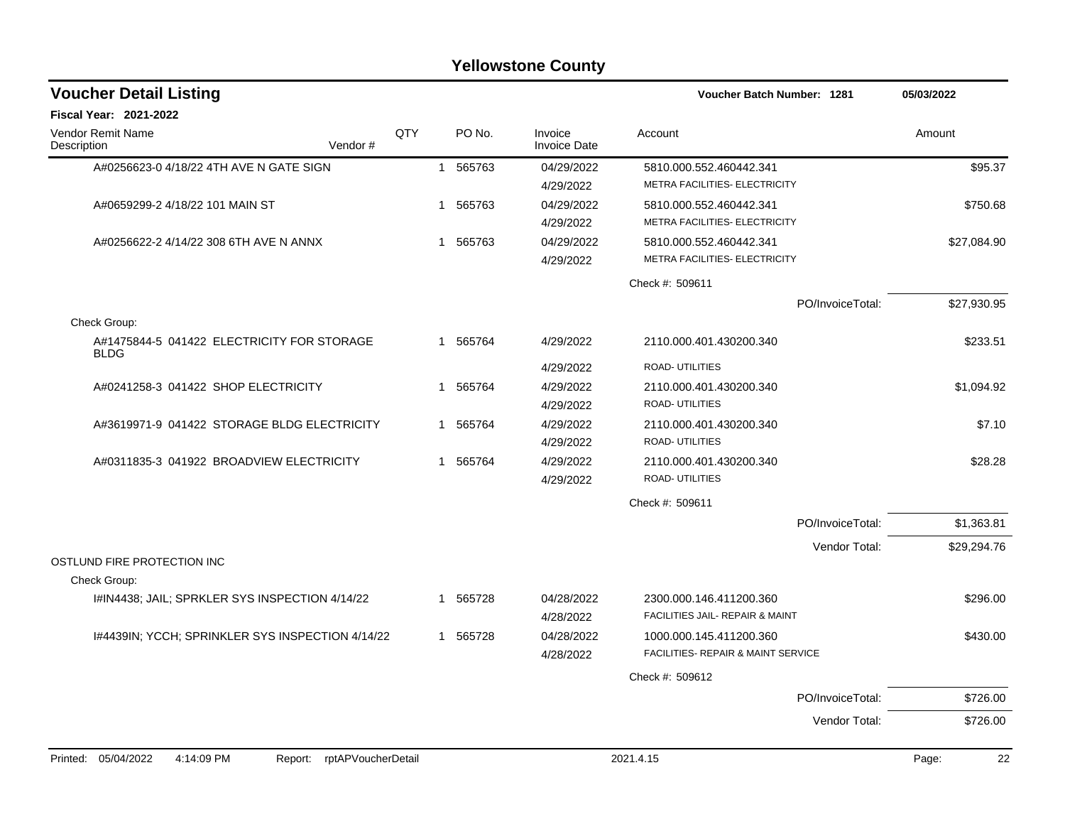| <b>Voucher Detail Listing</b>                             |         |     |   |          |                                | Voucher Batch Number: 1281 |                                               |                  | 05/03/2022  |  |
|-----------------------------------------------------------|---------|-----|---|----------|--------------------------------|----------------------------|-----------------------------------------------|------------------|-------------|--|
| <b>Fiscal Year: 2021-2022</b>                             |         |     |   |          |                                |                            |                                               |                  |             |  |
| <b>Vendor Remit Name</b><br>Description                   | Vendor# | QTY |   | PO No.   | Invoice<br><b>Invoice Date</b> | Account                    |                                               |                  | Amount      |  |
| A#0256623-0 4/18/22 4TH AVE N GATE SIGN                   |         |     |   | 1 565763 | 04/29/2022                     |                            | 5810.000.552.460442.341                       |                  | \$95.37     |  |
|                                                           |         |     |   |          | 4/29/2022                      |                            | METRA FACILITIES- ELECTRICITY                 |                  |             |  |
| A#0659299-2 4/18/22 101 MAIN ST                           |         |     | 1 | 565763   | 04/29/2022                     |                            | 5810.000.552.460442.341                       |                  | \$750.68    |  |
|                                                           |         |     |   |          | 4/29/2022                      |                            | METRA FACILITIES- ELECTRICITY                 |                  |             |  |
| A#0256622-2 4/14/22 308 6TH AVE N ANNX                    |         |     | 1 | 565763   | 04/29/2022                     |                            | 5810.000.552.460442.341                       |                  | \$27,084.90 |  |
|                                                           |         |     |   |          | 4/29/2022                      |                            | METRA FACILITIES- ELECTRICITY                 |                  |             |  |
|                                                           |         |     |   |          |                                | Check #: 509611            |                                               |                  |             |  |
|                                                           |         |     |   |          |                                |                            |                                               | PO/InvoiceTotal: | \$27,930.95 |  |
| Check Group:                                              |         |     |   |          |                                |                            |                                               |                  |             |  |
| A#1475844-5 041422 ELECTRICITY FOR STORAGE<br><b>BLDG</b> |         |     | 1 | 565764   | 4/29/2022                      |                            | 2110.000.401.430200.340                       |                  | \$233.51    |  |
|                                                           |         |     |   |          | 4/29/2022                      | <b>ROAD- UTILITIES</b>     |                                               |                  |             |  |
| A#0241258-3 041422 SHOP ELECTRICITY                       |         |     | 1 | 565764   | 4/29/2022                      |                            | 2110.000.401.430200.340                       |                  | \$1,094.92  |  |
|                                                           |         |     |   |          | 4/29/2022                      | ROAD- UTILITIES            |                                               |                  |             |  |
| A#3619971-9 041422 STORAGE BLDG ELECTRICITY               |         |     | 1 | 565764   | 4/29/2022                      |                            | 2110.000.401.430200.340                       |                  | \$7.10      |  |
|                                                           |         |     |   |          | 4/29/2022                      | ROAD- UTILITIES            |                                               |                  |             |  |
| A#0311835-3 041922 BROADVIEW ELECTRICITY                  |         |     |   | 1 565764 | 4/29/2022                      |                            | 2110.000.401.430200.340                       |                  | \$28.28     |  |
|                                                           |         |     |   |          | 4/29/2022                      | ROAD- UTILITIES            |                                               |                  |             |  |
|                                                           |         |     |   |          |                                | Check #: 509611            |                                               |                  |             |  |
|                                                           |         |     |   |          |                                |                            |                                               | PO/InvoiceTotal: | \$1,363.81  |  |
|                                                           |         |     |   |          |                                |                            |                                               | Vendor Total:    | \$29,294.76 |  |
| OSTLUND FIRE PROTECTION INC                               |         |     |   |          |                                |                            |                                               |                  |             |  |
| Check Group:                                              |         |     |   |          |                                |                            |                                               |                  |             |  |
| I#IN4438; JAIL; SPRKLER SYS INSPECTION 4/14/22            |         |     | 1 | 565728   | 04/28/2022                     |                            | 2300.000.146.411200.360                       |                  | \$296.00    |  |
|                                                           |         |     |   |          | 4/28/2022                      |                            | FACILITIES JAIL- REPAIR & MAINT               |                  |             |  |
| I#4439IN; YCCH; SPRINKLER SYS INSPECTION 4/14/22          |         |     |   | 1 565728 | 04/28/2022                     |                            | 1000.000.145.411200.360                       |                  | \$430.00    |  |
|                                                           |         |     |   |          | 4/28/2022                      |                            | <b>FACILITIES- REPAIR &amp; MAINT SERVICE</b> |                  |             |  |
|                                                           |         |     |   |          |                                | Check #: 509612            |                                               |                  |             |  |
|                                                           |         |     |   |          |                                |                            |                                               | PO/InvoiceTotal: | \$726.00    |  |
|                                                           |         |     |   |          |                                |                            |                                               | Vendor Total:    | \$726.00    |  |
|                                                           |         |     |   |          |                                |                            |                                               |                  |             |  |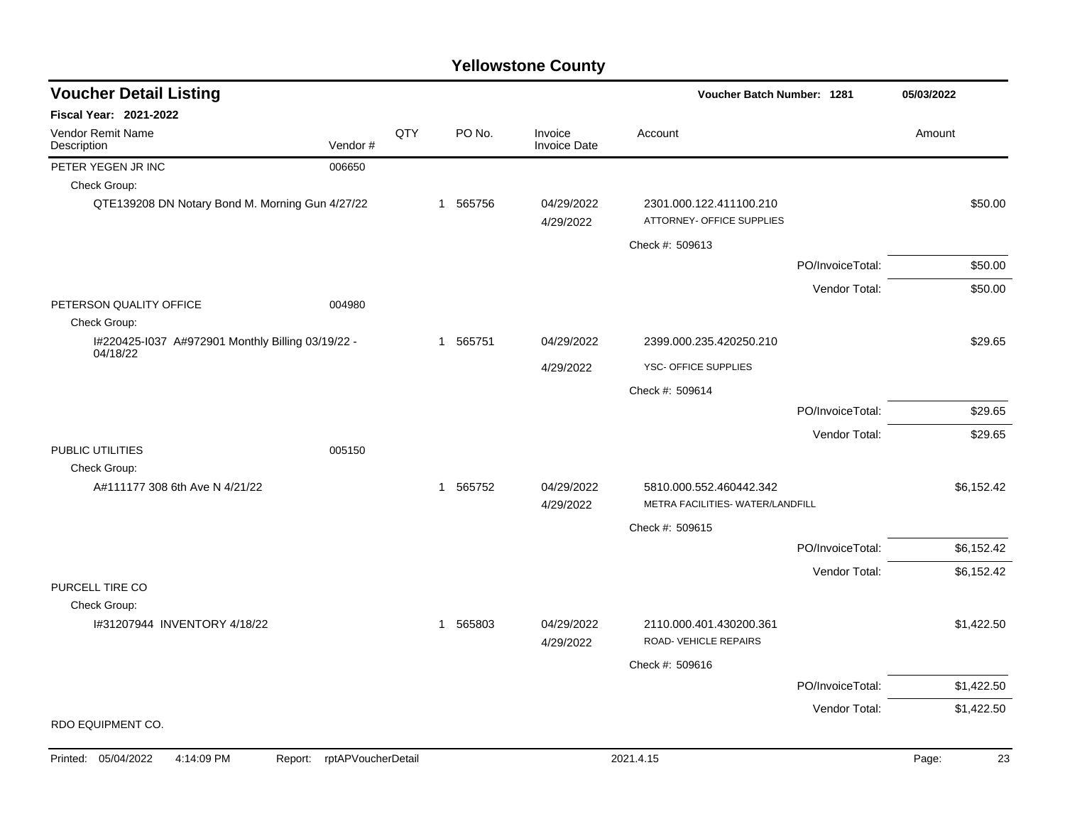| <b>Voucher Detail Listing</b>                     |                            |     |          |                                | Voucher Batch Number: 1281                           |                  | 05/03/2022  |
|---------------------------------------------------|----------------------------|-----|----------|--------------------------------|------------------------------------------------------|------------------|-------------|
| Fiscal Year: 2021-2022                            |                            |     |          |                                |                                                      |                  |             |
| Vendor Remit Name<br>Description                  | Vendor#                    | QTY | PO No.   | Invoice<br><b>Invoice Date</b> | Account                                              |                  | Amount      |
| PETER YEGEN JR INC                                | 006650                     |     |          |                                |                                                      |                  |             |
| Check Group:                                      |                            |     |          |                                |                                                      |                  |             |
| QTE139208 DN Notary Bond M. Morning Gun 4/27/22   |                            |     | 1 565756 | 04/29/2022<br>4/29/2022        | 2301.000.122.411100.210<br>ATTORNEY- OFFICE SUPPLIES |                  | \$50.00     |
|                                                   |                            |     |          |                                | Check #: 509613                                      |                  |             |
|                                                   |                            |     |          |                                |                                                      | PO/InvoiceTotal: | \$50.00     |
|                                                   |                            |     |          |                                |                                                      | Vendor Total:    | \$50.00     |
| PETERSON QUALITY OFFICE<br>Check Group:           | 004980                     |     |          |                                |                                                      |                  |             |
| I#220425-1037 A#972901 Monthly Billing 03/19/22 - |                            |     | 1 565751 | 04/29/2022                     | 2399.000.235.420250.210                              |                  | \$29.65     |
| 04/18/22                                          |                            |     |          | 4/29/2022                      | YSC- OFFICE SUPPLIES                                 |                  |             |
|                                                   |                            |     |          |                                | Check #: 509614                                      |                  |             |
|                                                   |                            |     |          |                                |                                                      | PO/InvoiceTotal: | \$29.65     |
|                                                   |                            |     |          |                                |                                                      | Vendor Total:    | \$29.65     |
| PUBLIC UTILITIES                                  | 005150                     |     |          |                                |                                                      |                  |             |
| Check Group:                                      |                            |     |          |                                |                                                      |                  |             |
| A#111177 308 6th Ave N 4/21/22                    |                            |     | 1 565752 | 04/29/2022                     | 5810.000.552.460442.342                              |                  | \$6,152.42  |
|                                                   |                            |     |          | 4/29/2022                      | METRA FACILITIES- WATER/LANDFILL                     |                  |             |
|                                                   |                            |     |          |                                | Check #: 509615                                      |                  |             |
|                                                   |                            |     |          |                                |                                                      | PO/InvoiceTotal: | \$6,152.42  |
| PURCELL TIRE CO                                   |                            |     |          |                                |                                                      | Vendor Total:    | \$6,152.42  |
| Check Group:                                      |                            |     |          |                                |                                                      |                  |             |
| I#31207944 INVENTORY 4/18/22                      |                            |     | 1 565803 | 04/29/2022<br>4/29/2022        | 2110.000.401.430200.361<br>ROAD-VEHICLE REPAIRS      |                  | \$1,422.50  |
|                                                   |                            |     |          |                                | Check #: 509616                                      |                  |             |
|                                                   |                            |     |          |                                |                                                      | PO/InvoiceTotal: | \$1,422.50  |
|                                                   |                            |     |          |                                |                                                      | Vendor Total:    | \$1,422.50  |
| RDO EQUIPMENT CO.                                 |                            |     |          |                                |                                                      |                  |             |
| Printed: 05/04/2022<br>4:14:09 PM                 | Report: rptAPVoucherDetail |     |          |                                | 2021.4.15                                            |                  | 23<br>Page: |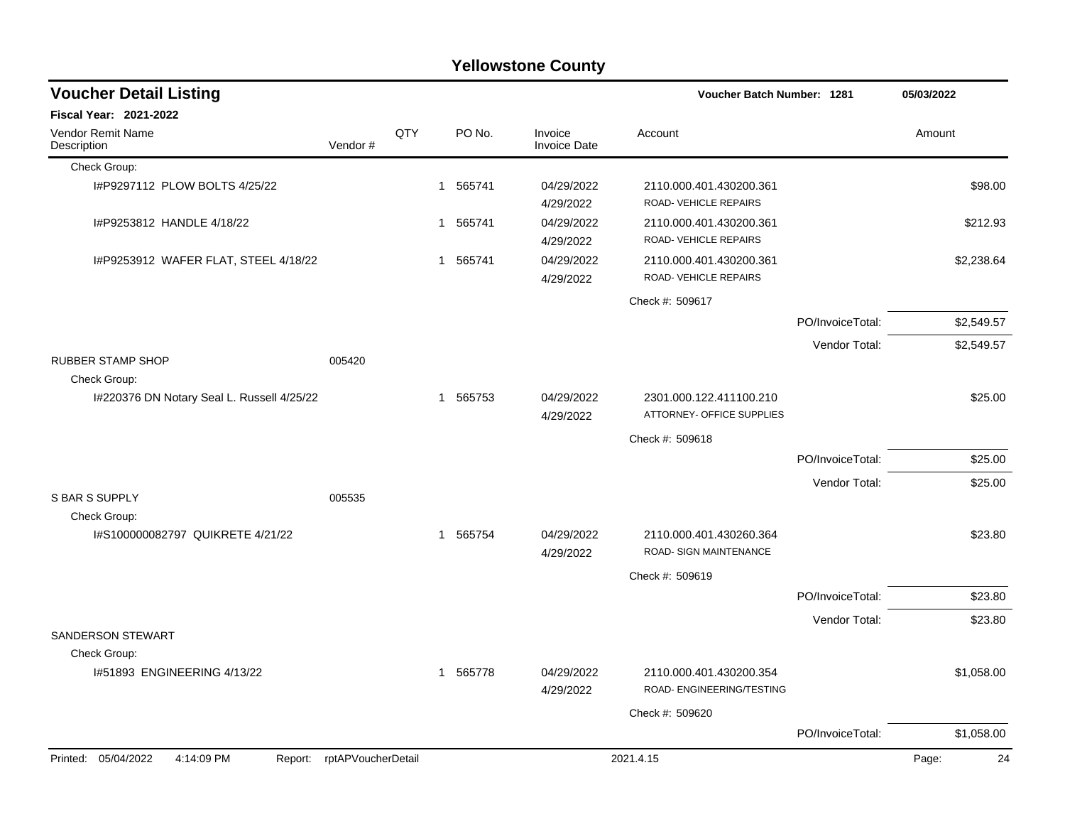| <b>Yellowstone County</b>                                  |                            |     |             |                                |                                                   |                  |             |  |  |  |
|------------------------------------------------------------|----------------------------|-----|-------------|--------------------------------|---------------------------------------------------|------------------|-------------|--|--|--|
| <b>Voucher Detail Listing</b>                              |                            |     |             |                                | <b>Voucher Batch Number: 1281</b>                 |                  | 05/03/2022  |  |  |  |
| <b>Fiscal Year: 2021-2022</b>                              |                            |     |             |                                |                                                   |                  |             |  |  |  |
| Vendor Remit Name<br>Description                           | Vendor#                    | QTY | PO No.      | Invoice<br><b>Invoice Date</b> | Account                                           |                  | Amount      |  |  |  |
| Check Group:                                               |                            |     |             |                                |                                                   |                  |             |  |  |  |
| I#P9297112 PLOW BOLTS 4/25/22                              |                            |     | 565741<br>1 | 04/29/2022<br>4/29/2022        | 2110.000.401.430200.361<br>ROAD-VEHICLE REPAIRS   |                  | \$98.00     |  |  |  |
| I#P9253812 HANDLE 4/18/22                                  |                            |     | 1 565741    | 04/29/2022<br>4/29/2022        | 2110.000.401.430200.361<br>ROAD-VEHICLE REPAIRS   |                  | \$212.93    |  |  |  |
| I#P9253912 WAFER FLAT, STEEL 4/18/22                       |                            |     | 1 565741    | 04/29/2022<br>4/29/2022        | 2110.000.401.430200.361<br>ROAD-VEHICLE REPAIRS   |                  | \$2,238.64  |  |  |  |
|                                                            |                            |     |             |                                | Check #: 509617                                   |                  |             |  |  |  |
|                                                            |                            |     |             |                                |                                                   | PO/InvoiceTotal: | \$2,549.57  |  |  |  |
|                                                            |                            |     |             |                                |                                                   | Vendor Total:    | \$2,549.57  |  |  |  |
| RUBBER STAMP SHOP                                          | 005420                     |     |             |                                |                                                   |                  |             |  |  |  |
| Check Group:<br>I#220376 DN Notary Seal L. Russell 4/25/22 |                            |     | 1 565753    | 04/29/2022                     | 2301.000.122.411100.210                           |                  | \$25.00     |  |  |  |
|                                                            |                            |     |             | 4/29/2022                      | ATTORNEY- OFFICE SUPPLIES                         |                  |             |  |  |  |
|                                                            |                            |     |             |                                | Check #: 509618                                   |                  |             |  |  |  |
|                                                            |                            |     |             |                                |                                                   | PO/InvoiceTotal: | \$25.00     |  |  |  |
|                                                            |                            |     |             |                                |                                                   | Vendor Total:    | \$25.00     |  |  |  |
| <b>S BAR S SUPPLY</b>                                      | 005535                     |     |             |                                |                                                   |                  |             |  |  |  |
| Check Group:<br>I#S100000082797 QUIKRETE 4/21/22           |                            |     | 1 565754    | 04/29/2022<br>4/29/2022        | 2110.000.401.430260.364<br>ROAD- SIGN MAINTENANCE |                  | \$23.80     |  |  |  |
|                                                            |                            |     |             |                                | Check #: 509619                                   |                  |             |  |  |  |
|                                                            |                            |     |             |                                |                                                   | PO/InvoiceTotal: | \$23.80     |  |  |  |
|                                                            |                            |     |             |                                |                                                   | Vendor Total:    | \$23.80     |  |  |  |
| <b>SANDERSON STEWART</b>                                   |                            |     |             |                                |                                                   |                  |             |  |  |  |
| Check Group:<br>I#51893 ENGINEERING 4/13/22                |                            |     | 1 565778    | 04/29/2022                     | 2110.000.401.430200.354                           |                  | \$1,058.00  |  |  |  |
|                                                            |                            |     |             | 4/29/2022                      | ROAD- ENGINEERING/TESTING                         |                  |             |  |  |  |
|                                                            |                            |     |             |                                | Check #: 509620                                   |                  |             |  |  |  |
|                                                            |                            |     |             |                                |                                                   | PO/InvoiceTotal: | \$1,058.00  |  |  |  |
| Printed: 05/04/2022<br>4:14:09 PM                          | Report: rptAPVoucherDetail |     |             |                                | 2021.4.15                                         |                  | 24<br>Page: |  |  |  |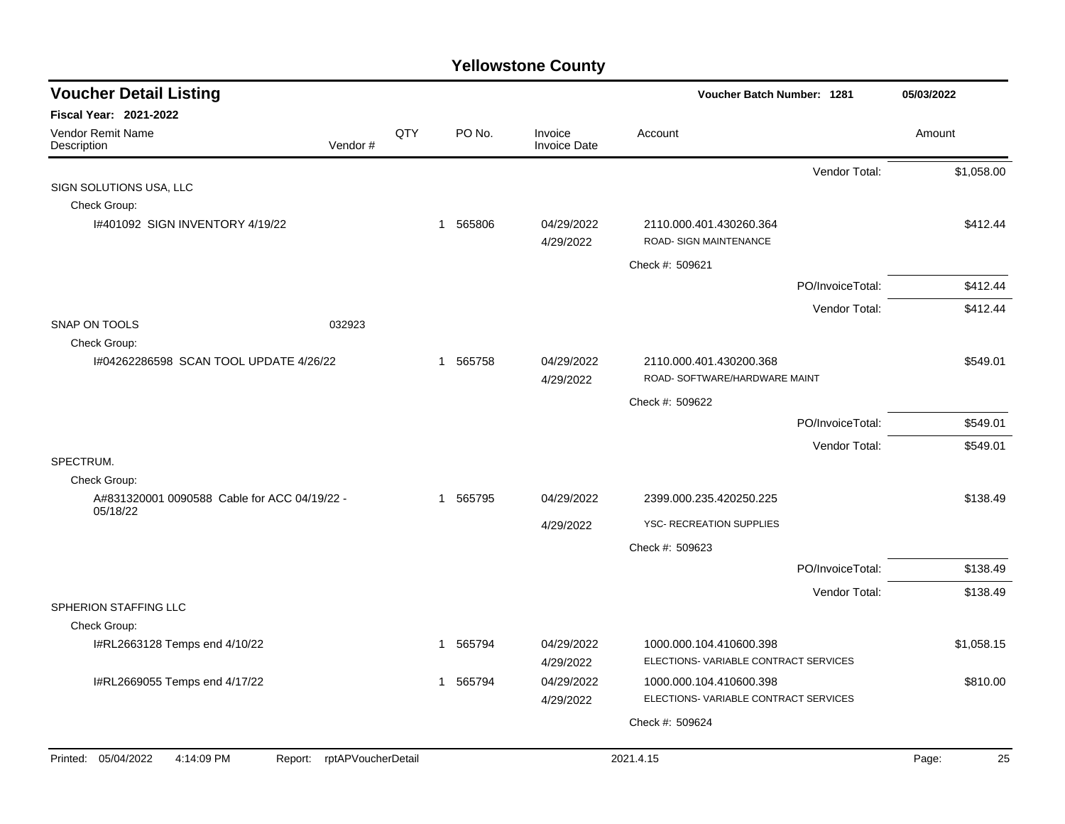| <b>Voucher Detail Listing</b>                            |                    |     |                        |                                | Voucher Batch Number: 1281                                      |                  | 05/03/2022  |
|----------------------------------------------------------|--------------------|-----|------------------------|--------------------------------|-----------------------------------------------------------------|------------------|-------------|
| <b>Fiscal Year: 2021-2022</b>                            |                    |     |                        |                                |                                                                 |                  |             |
| Vendor Remit Name<br>Description                         | Vendor#            | QTY | PO No.                 | Invoice<br><b>Invoice Date</b> | Account                                                         |                  | Amount      |
|                                                          |                    |     |                        |                                |                                                                 | Vendor Total:    | \$1,058.00  |
| SIGN SOLUTIONS USA, LLC                                  |                    |     |                        |                                |                                                                 |                  |             |
| Check Group:                                             |                    |     |                        |                                |                                                                 |                  |             |
| 1#401092 SIGN INVENTORY 4/19/22                          |                    |     | 1 565806               | 04/29/2022<br>4/29/2022        | 2110.000.401.430260.364<br>ROAD- SIGN MAINTENANCE               |                  | \$412.44    |
|                                                          |                    |     |                        |                                | Check #: 509621                                                 |                  |             |
|                                                          |                    |     |                        |                                |                                                                 | PO/InvoiceTotal: | \$412.44    |
|                                                          |                    |     |                        |                                |                                                                 | Vendor Total:    | \$412.44    |
| <b>SNAP ON TOOLS</b>                                     | 032923             |     |                        |                                |                                                                 |                  |             |
| Check Group:                                             |                    |     |                        |                                |                                                                 |                  |             |
| 1#04262286598 SCAN TOOL UPDATE 4/26/22                   |                    |     | 1 565758               | 04/29/2022                     | 2110.000.401.430200.368                                         |                  | \$549.01    |
|                                                          |                    |     |                        | 4/29/2022                      | ROAD- SOFTWARE/HARDWARE MAINT                                   |                  |             |
|                                                          |                    |     |                        |                                | Check #: 509622                                                 |                  |             |
|                                                          |                    |     |                        |                                |                                                                 | PO/InvoiceTotal: | \$549.01    |
|                                                          |                    |     |                        |                                |                                                                 | Vendor Total:    | \$549.01    |
| SPECTRUM.<br>Check Group:                                |                    |     |                        |                                |                                                                 |                  |             |
| A#831320001 0090588 Cable for ACC 04/19/22 -<br>05/18/22 |                    |     | 1 565795               | 04/29/2022                     | 2399.000.235.420250.225                                         |                  | \$138.49    |
|                                                          |                    |     |                        | 4/29/2022                      | YSC- RECREATION SUPPLIES                                        |                  |             |
|                                                          |                    |     |                        |                                | Check #: 509623                                                 |                  |             |
|                                                          |                    |     |                        |                                |                                                                 | PO/InvoiceTotal: | \$138.49    |
|                                                          |                    |     |                        |                                |                                                                 | Vendor Total:    | \$138.49    |
| SPHERION STAFFING LLC                                    |                    |     |                        |                                |                                                                 |                  |             |
| Check Group:                                             |                    |     |                        |                                |                                                                 |                  |             |
| I#RL2663128 Temps end 4/10/22                            |                    |     | 565794<br>$\mathbf{1}$ | 04/29/2022<br>4/29/2022        | 1000.000.104.410600.398<br>ELECTIONS-VARIABLE CONTRACT SERVICES |                  | \$1,058.15  |
| I#RL2669055 Temps end 4/17/22                            |                    |     | 1 565794               | 04/29/2022                     | 1000.000.104.410600.398                                         |                  | \$810.00    |
|                                                          |                    |     |                        | 4/29/2022                      | ELECTIONS-VARIABLE CONTRACT SERVICES                            |                  |             |
|                                                          |                    |     |                        |                                | Check #: 509624                                                 |                  |             |
|                                                          |                    |     |                        |                                |                                                                 |                  |             |
| Printed: 05/04/2022<br>4:14:09 PM<br>Report:             | rptAPVoucherDetail |     |                        |                                | 2021.4.15                                                       |                  | Page:<br>25 |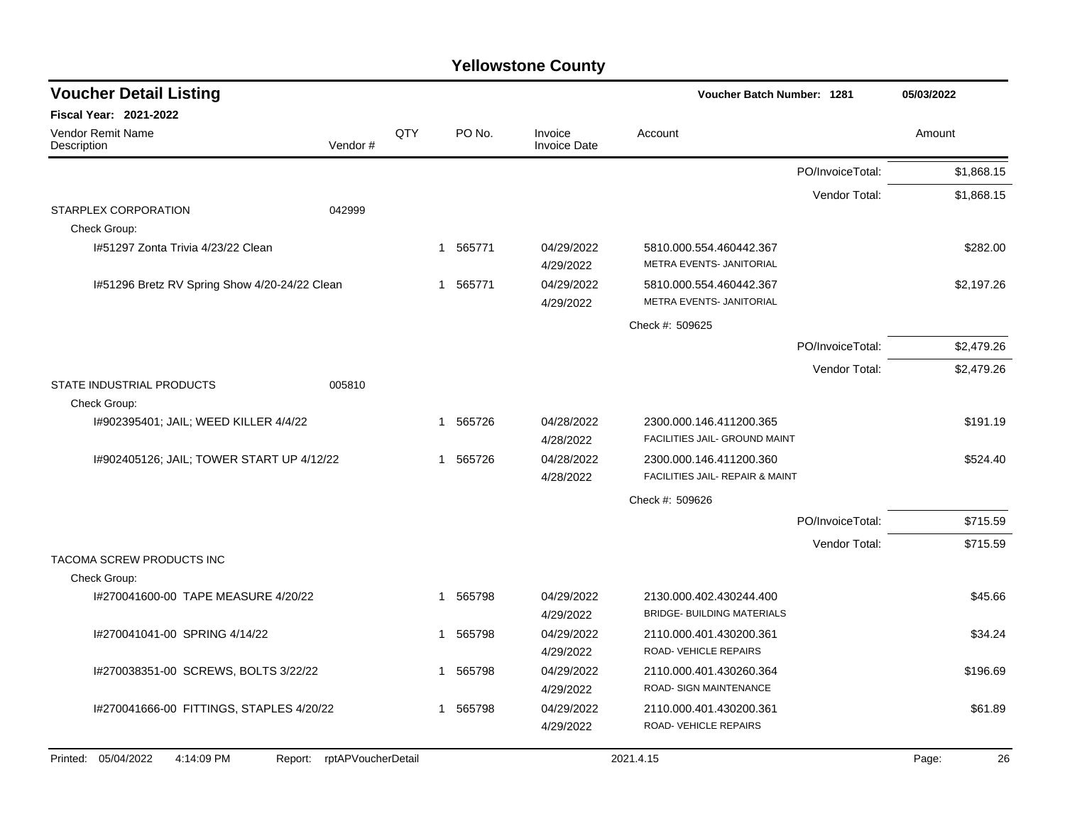| <b>Voucher Detail Listing</b>                    |                               |     |                        |                                | Voucher Batch Number: 1281                                   | 05/03/2022       |             |
|--------------------------------------------------|-------------------------------|-----|------------------------|--------------------------------|--------------------------------------------------------------|------------------|-------------|
| Fiscal Year: 2021-2022                           |                               |     |                        |                                |                                                              |                  |             |
| Vendor Remit Name<br>Description                 | Vendor#                       | QTY | PO No.                 | Invoice<br><b>Invoice Date</b> | Account                                                      |                  | Amount      |
|                                                  |                               |     |                        |                                |                                                              | PO/InvoiceTotal: | \$1,868.15  |
|                                                  |                               |     |                        |                                |                                                              | Vendor Total:    | \$1,868.15  |
| STARPLEX CORPORATION<br>Check Group:             | 042999                        |     |                        |                                |                                                              |                  |             |
| 1#51297 Zonta Trivia 4/23/22 Clean               |                               |     | 565771<br>$\mathbf{1}$ | 04/29/2022<br>4/29/2022        | 5810.000.554.460442.367<br>METRA EVENTS- JANITORIAL          |                  | \$282.00    |
| I#51296 Bretz RV Spring Show 4/20-24/22 Clean    |                               |     | 1 565771               | 04/29/2022<br>4/29/2022        | 5810.000.554.460442.367<br>METRA EVENTS- JANITORIAL          |                  | \$2,197.26  |
|                                                  |                               |     |                        |                                | Check #: 509625                                              |                  |             |
|                                                  |                               |     |                        |                                |                                                              | PO/InvoiceTotal: | \$2,479.26  |
|                                                  |                               |     |                        |                                |                                                              | Vendor Total:    | \$2,479.26  |
| STATE INDUSTRIAL PRODUCTS<br>Check Group:        | 005810                        |     |                        |                                |                                                              |                  |             |
| I#902395401; JAIL; WEED KILLER 4/4/22            |                               |     | 1 565726               | 04/28/2022<br>4/28/2022        | 2300.000.146.411200.365<br>FACILITIES JAIL- GROUND MAINT     |                  | \$191.19    |
| 1#902405126; JAIL; TOWER START UP 4/12/22        |                               |     | 1 565726               | 04/28/2022<br>4/28/2022        | 2300.000.146.411200.360<br>FACILITIES JAIL- REPAIR & MAINT   |                  | \$524.40    |
|                                                  |                               |     |                        |                                | Check #: 509626                                              |                  |             |
|                                                  |                               |     |                        |                                |                                                              | PO/InvoiceTotal: | \$715.59    |
|                                                  |                               |     |                        |                                |                                                              | Vendor Total:    | \$715.59    |
| <b>TACOMA SCREW PRODUCTS INC</b><br>Check Group: |                               |     |                        |                                |                                                              |                  |             |
| I#270041600-00 TAPE MEASURE 4/20/22              |                               |     | 1 565798               | 04/29/2022<br>4/29/2022        | 2130.000.402.430244.400<br><b>BRIDGE- BUILDING MATERIALS</b> |                  | \$45.66     |
| I#270041041-00 SPRING 4/14/22                    |                               |     | 565798<br>$\mathbf 1$  | 04/29/2022<br>4/29/2022        | 2110.000.401.430200.361<br>ROAD-VEHICLE REPAIRS              |                  | \$34.24     |
| I#270038351-00 SCREWS, BOLTS 3/22/22             |                               |     | 565798<br>$\mathbf 1$  | 04/29/2022<br>4/29/2022        | 2110.000.401.430260.364<br>ROAD- SIGN MAINTENANCE            |                  | \$196.69    |
| I#270041666-00 FITTINGS, STAPLES 4/20/22         |                               |     | 565798<br>$\mathbf 1$  | 04/29/2022<br>4/29/2022        | 2110.000.401.430200.361<br>ROAD-VEHICLE REPAIRS              |                  | \$61.89     |
| 05/04/2022<br>4:14:09 PM<br>Printed:             | Report:<br>rptAPVoucherDetail |     |                        |                                | 2021.4.15                                                    |                  | Page:<br>26 |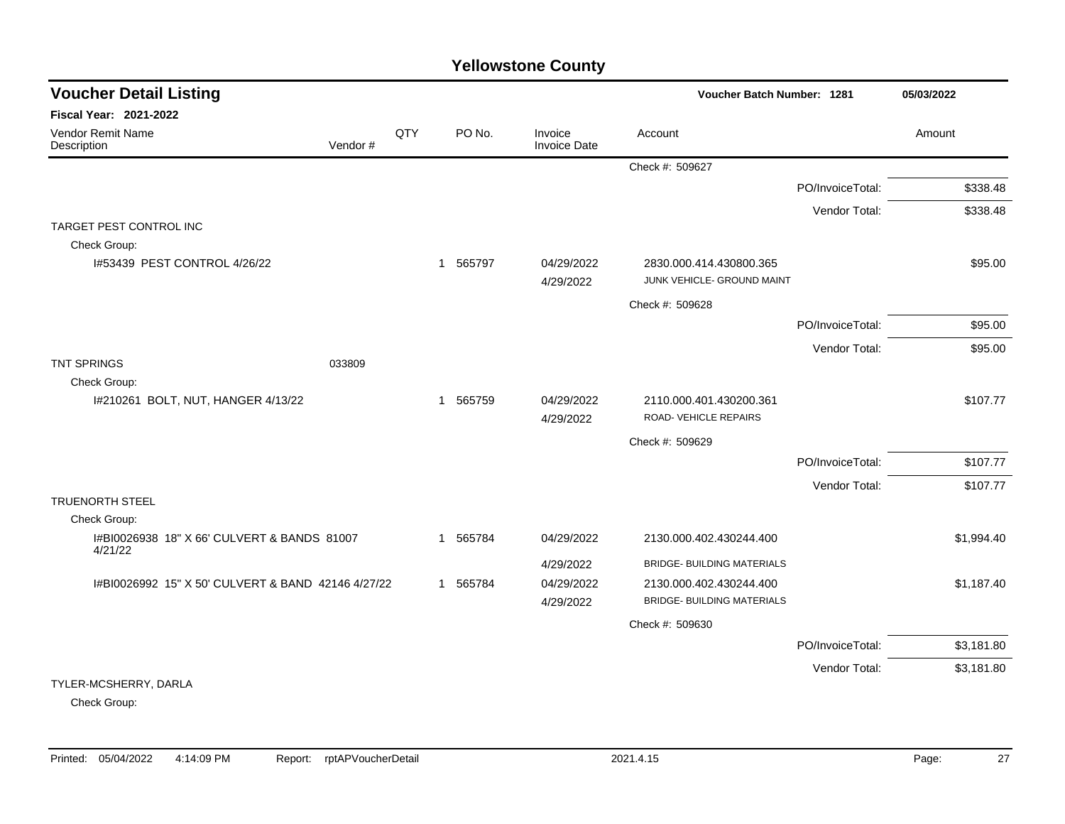| <b>Voucher Detail Listing</b>                          |         |     |                        |                                | Voucher Batch Number: 1281                            |                  | 05/03/2022 |
|--------------------------------------------------------|---------|-----|------------------------|--------------------------------|-------------------------------------------------------|------------------|------------|
| Fiscal Year: 2021-2022                                 |         |     |                        |                                |                                                       |                  |            |
| Vendor Remit Name<br>Description                       | Vendor# | QTY | PO No.                 | Invoice<br><b>Invoice Date</b> | Account                                               |                  | Amount     |
|                                                        |         |     |                        |                                | Check #: 509627                                       |                  |            |
|                                                        |         |     |                        |                                |                                                       | PO/InvoiceTotal: | \$338.48   |
|                                                        |         |     |                        |                                |                                                       | Vendor Total:    | \$338.48   |
| TARGET PEST CONTROL INC                                |         |     |                        |                                |                                                       |                  |            |
| Check Group:                                           |         |     |                        |                                |                                                       |                  |            |
| I#53439 PEST CONTROL 4/26/22                           |         |     | 1 565797               | 04/29/2022<br>4/29/2022        | 2830.000.414.430800.365<br>JUNK VEHICLE- GROUND MAINT |                  | \$95.00    |
|                                                        |         |     |                        |                                | Check #: 509628                                       |                  |            |
|                                                        |         |     |                        |                                |                                                       | PO/InvoiceTotal: | \$95.00    |
|                                                        |         |     |                        |                                |                                                       | Vendor Total:    | \$95.00    |
| <b>TNT SPRINGS</b>                                     | 033809  |     |                        |                                |                                                       |                  |            |
| Check Group:                                           |         |     |                        |                                |                                                       |                  |            |
| I#210261 BOLT, NUT, HANGER 4/13/22                     |         |     | 565759<br>$\mathbf{1}$ | 04/29/2022<br>4/29/2022        | 2110.000.401.430200.361<br>ROAD-VEHICLE REPAIRS       |                  | \$107.77   |
|                                                        |         |     |                        |                                | Check #: 509629                                       |                  |            |
|                                                        |         |     |                        |                                |                                                       | PO/InvoiceTotal: | \$107.77   |
|                                                        |         |     |                        |                                |                                                       | Vendor Total:    | \$107.77   |
| <b>TRUENORTH STEEL</b>                                 |         |     |                        |                                |                                                       |                  |            |
| Check Group:                                           |         |     |                        |                                |                                                       |                  |            |
| I#BI0026938 18" X 66' CULVERT & BANDS 81007<br>4/21/22 |         |     | 565784<br>1            | 04/29/2022                     | 2130.000.402.430244.400                               |                  | \$1,994.40 |
|                                                        |         |     |                        | 4/29/2022                      | <b>BRIDGE- BUILDING MATERIALS</b>                     |                  |            |
| I#BI0026992 15" X 50' CULVERT & BAND 42146 4/27/22     |         |     | 1 565784               | 04/29/2022                     | 2130.000.402.430244.400                               |                  | \$1,187.40 |
|                                                        |         |     |                        | 4/29/2022                      | <b>BRIDGE- BUILDING MATERIALS</b>                     |                  |            |
|                                                        |         |     |                        |                                | Check #: 509630                                       |                  |            |
|                                                        |         |     |                        |                                |                                                       | PO/InvoiceTotal: | \$3,181.80 |
|                                                        |         |     |                        |                                |                                                       | Vendor Total:    | \$3,181.80 |
| TYLER-MCSHERRY, DARLA                                  |         |     |                        |                                |                                                       |                  |            |

Check Group: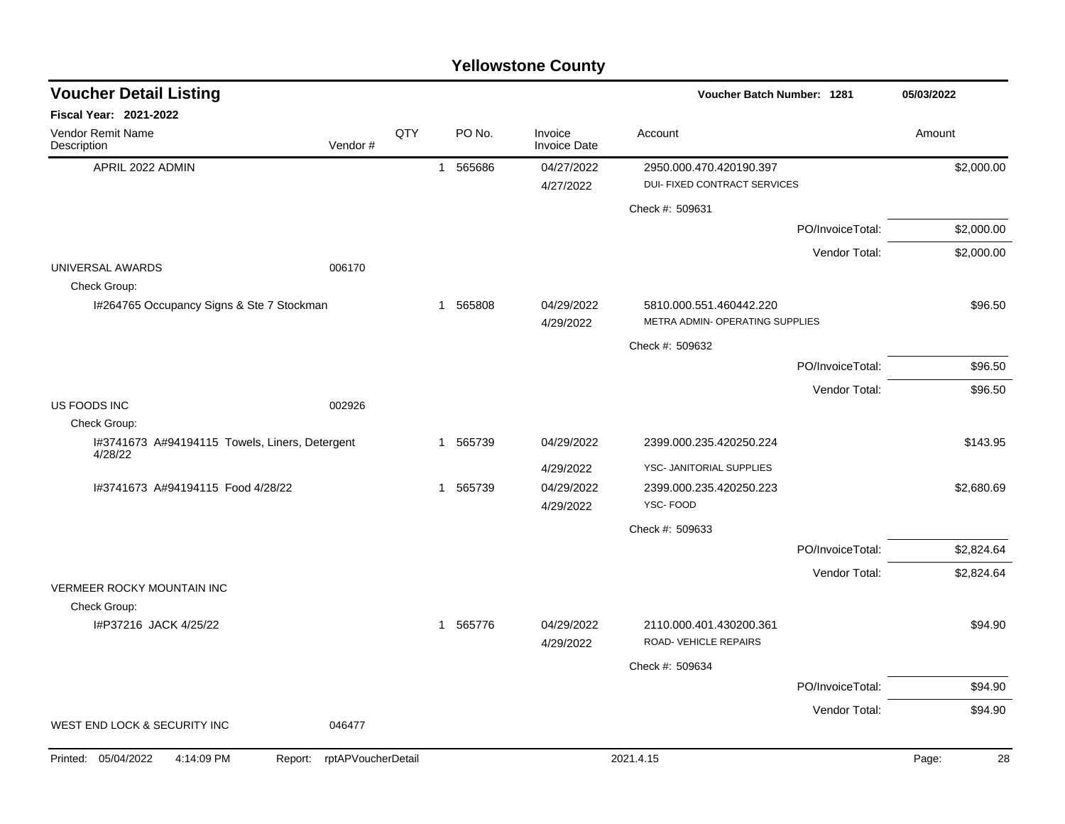| <b>Voucher Detail Listing</b>                             |                               |     |          |                                | Voucher Batch Number: 1281                                     |                  | 05/03/2022  |
|-----------------------------------------------------------|-------------------------------|-----|----------|--------------------------------|----------------------------------------------------------------|------------------|-------------|
| <b>Fiscal Year: 2021-2022</b>                             |                               |     |          |                                |                                                                |                  |             |
| Vendor Remit Name<br>Description                          | Vendor#                       | QTY | PO No.   | Invoice<br><b>Invoice Date</b> | Account                                                        |                  | Amount      |
| APRIL 2022 ADMIN                                          |                               |     | 1 565686 | 04/27/2022<br>4/27/2022        | 2950.000.470.420190.397<br><b>DUI- FIXED CONTRACT SERVICES</b> |                  | \$2,000.00  |
|                                                           |                               |     |          |                                | Check #: 509631                                                |                  |             |
|                                                           |                               |     |          |                                |                                                                | PO/InvoiceTotal: | \$2,000.00  |
|                                                           |                               |     |          |                                |                                                                | Vendor Total:    | \$2,000.00  |
| UNIVERSAL AWARDS<br>Check Group:                          | 006170                        |     |          |                                |                                                                |                  |             |
| I#264765 Occupancy Signs & Ste 7 Stockman                 |                               |     | 1 565808 | 04/29/2022<br>4/29/2022        | 5810.000.551.460442.220<br>METRA ADMIN- OPERATING SUPPLIES     |                  | \$96.50     |
|                                                           |                               |     |          |                                | Check #: 509632                                                |                  |             |
|                                                           |                               |     |          |                                |                                                                | PO/InvoiceTotal: | \$96.50     |
|                                                           |                               |     |          |                                |                                                                | Vendor Total:    | \$96.50     |
| US FOODS INC<br>Check Group:                              | 002926                        |     |          |                                |                                                                |                  |             |
| I#3741673 A#94194115 Towels, Liners, Detergent<br>4/28/22 |                               |     | 1 565739 | 04/29/2022                     | 2399.000.235.420250.224                                        |                  | \$143.95    |
|                                                           |                               |     |          | 4/29/2022                      | YSC- JANITORIAL SUPPLIES                                       |                  |             |
| I#3741673 A#94194115 Food 4/28/22                         |                               |     | 1 565739 | 04/29/2022<br>4/29/2022        | 2399.000.235.420250.223<br>YSC-FOOD                            |                  | \$2,680.69  |
|                                                           |                               |     |          |                                | Check #: 509633                                                |                  |             |
|                                                           |                               |     |          |                                |                                                                | PO/InvoiceTotal: | \$2,824.64  |
|                                                           |                               |     |          |                                |                                                                | Vendor Total:    | \$2,824.64  |
| <b>VERMEER ROCKY MOUNTAIN INC</b>                         |                               |     |          |                                |                                                                |                  |             |
| Check Group:                                              |                               |     |          |                                |                                                                |                  |             |
| I#P37216 JACK 4/25/22                                     |                               |     | 1 565776 | 04/29/2022<br>4/29/2022        | 2110.000.401.430200.361<br>ROAD-VEHICLE REPAIRS                |                  | \$94.90     |
|                                                           |                               |     |          |                                | Check #: 509634                                                |                  |             |
|                                                           |                               |     |          |                                |                                                                | PO/InvoiceTotal: | \$94.90     |
|                                                           |                               |     |          |                                |                                                                | Vendor Total:    | \$94.90     |
| WEST END LOCK & SECURITY INC                              | 046477                        |     |          |                                |                                                                |                  |             |
| Printed: 05/04/2022<br>4:14:09 PM                         | rptAPVoucherDetail<br>Report: |     |          |                                | 2021.4.15                                                      |                  | 28<br>Page: |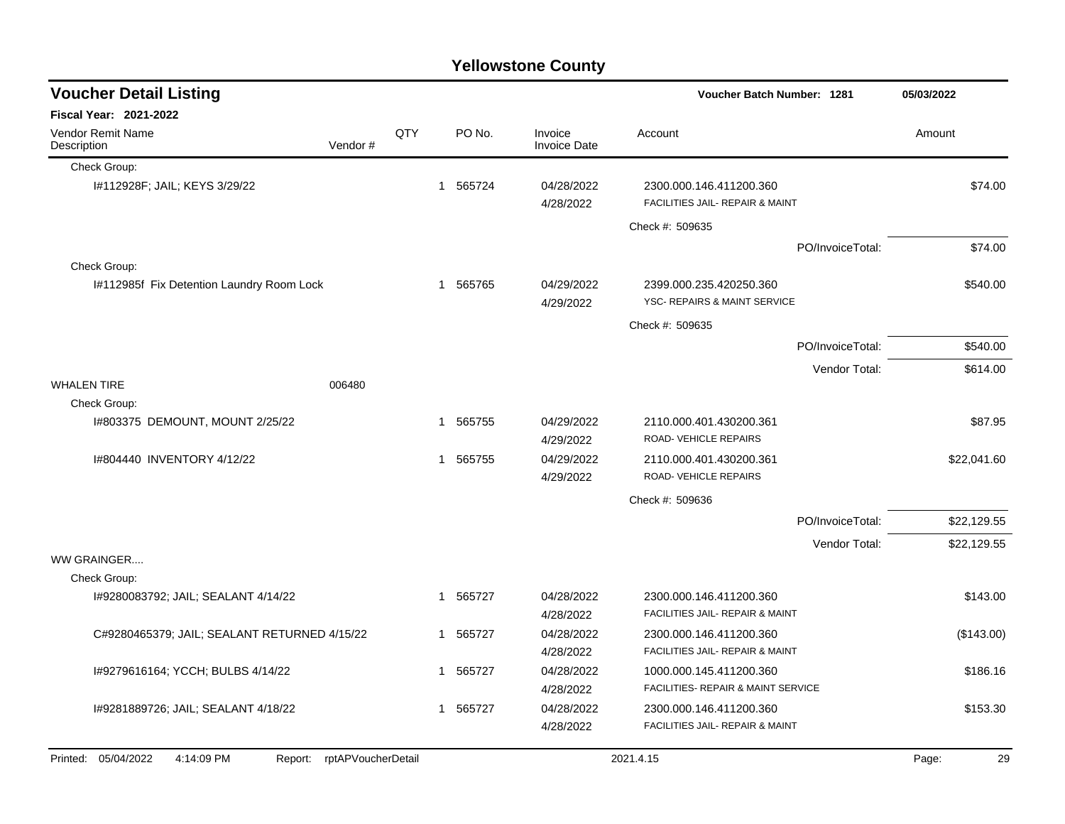|                                                                 |         |     |   |        | <b>Yellowstone County</b>      |                                                            |                  |             |
|-----------------------------------------------------------------|---------|-----|---|--------|--------------------------------|------------------------------------------------------------|------------------|-------------|
| <b>Voucher Detail Listing</b>                                   |         |     |   |        |                                | <b>Voucher Batch Number: 1281</b>                          |                  | 05/03/2022  |
| Fiscal Year: 2021-2022                                          |         |     |   |        |                                |                                                            |                  |             |
| Vendor Remit Name<br>Description                                | Vendor# | QTY |   | PO No. | Invoice<br><b>Invoice Date</b> | Account                                                    |                  | Amount      |
| Check Group:                                                    |         |     |   |        |                                |                                                            |                  |             |
| I#112928F; JAIL; KEYS 3/29/22                                   |         |     | 1 | 565724 | 04/28/2022<br>4/28/2022        | 2300.000.146.411200.360<br>FACILITIES JAIL- REPAIR & MAINT |                  | \$74.00     |
|                                                                 |         |     |   |        |                                | Check #: 509635                                            |                  |             |
|                                                                 |         |     |   |        |                                |                                                            | PO/InvoiceTotal: | \$74.00     |
| Check Group:                                                    |         |     |   |        |                                |                                                            |                  |             |
| I#112985f Fix Detention Laundry Room Lock                       |         |     | 1 | 565765 | 04/29/2022<br>4/29/2022        | 2399.000.235.420250.360<br>YSC- REPAIRS & MAINT SERVICE    |                  | \$540.00    |
|                                                                 |         |     |   |        |                                | Check #: 509635                                            |                  |             |
|                                                                 |         |     |   |        |                                |                                                            | PO/InvoiceTotal: | \$540.00    |
|                                                                 |         |     |   |        |                                |                                                            | Vendor Total:    | \$614.00    |
| <b>WHALEN TIRE</b>                                              | 006480  |     |   |        |                                |                                                            |                  |             |
| Check Group:                                                    |         |     |   |        |                                |                                                            |                  |             |
| I#803375 DEMOUNT, MOUNT 2/25/22                                 |         |     | 1 | 565755 | 04/29/2022<br>4/29/2022        | 2110.000.401.430200.361<br>ROAD-VEHICLE REPAIRS            |                  | \$87.95     |
| 1#804440 INVENTORY 4/12/22                                      |         |     | 1 | 565755 | 04/29/2022<br>4/29/2022        | 2110.000.401.430200.361<br>ROAD-VEHICLE REPAIRS            |                  | \$22,041.60 |
|                                                                 |         |     |   |        |                                | Check #: 509636                                            |                  |             |
|                                                                 |         |     |   |        |                                |                                                            | PO/InvoiceTotal: | \$22,129.55 |
|                                                                 |         |     |   |        |                                |                                                            | Vendor Total:    | \$22,129.55 |
| WW GRAINGER<br>Check Group:                                     |         |     |   |        |                                |                                                            |                  |             |
| I#9280083792; JAIL; SEALANT 4/14/22                             |         |     | 1 | 565727 | 04/28/2022                     | 2300.000.146.411200.360                                    |                  | \$143.00    |
|                                                                 |         |     |   |        | 4/28/2022                      | FACILITIES JAIL- REPAIR & MAINT                            |                  |             |
| C#9280465379; JAIL; SEALANT RETURNED 4/15/22                    |         |     |   | 565727 | 04/28/2022                     | 2300.000.146.411200.360                                    |                  | (\$143.00)  |
|                                                                 |         |     |   |        | 4/28/2022                      | <b>FACILITIES JAIL- REPAIR &amp; MAINT</b>                 |                  |             |
| I#9279616164; YCCH; BULBS 4/14/22                               |         |     | 1 | 565727 | 04/28/2022                     | 1000.000.145.411200.360                                    |                  | \$186.16    |
|                                                                 |         |     |   |        | 4/28/2022                      | FACILITIES- REPAIR & MAINT SERVICE                         |                  |             |
| I#9281889726; JAIL; SEALANT 4/18/22                             |         |     | 1 | 565727 | 04/28/2022<br>4/28/2022        | 2300.000.146.411200.360<br>FACILITIES JAIL- REPAIR & MAINT |                  | \$153.30    |
| Printed: 05/04/2022<br>4:14:09 PM<br>Report: rptAPVoucherDetail |         |     |   |        |                                | 2021.4.15                                                  |                  | Page:<br>29 |